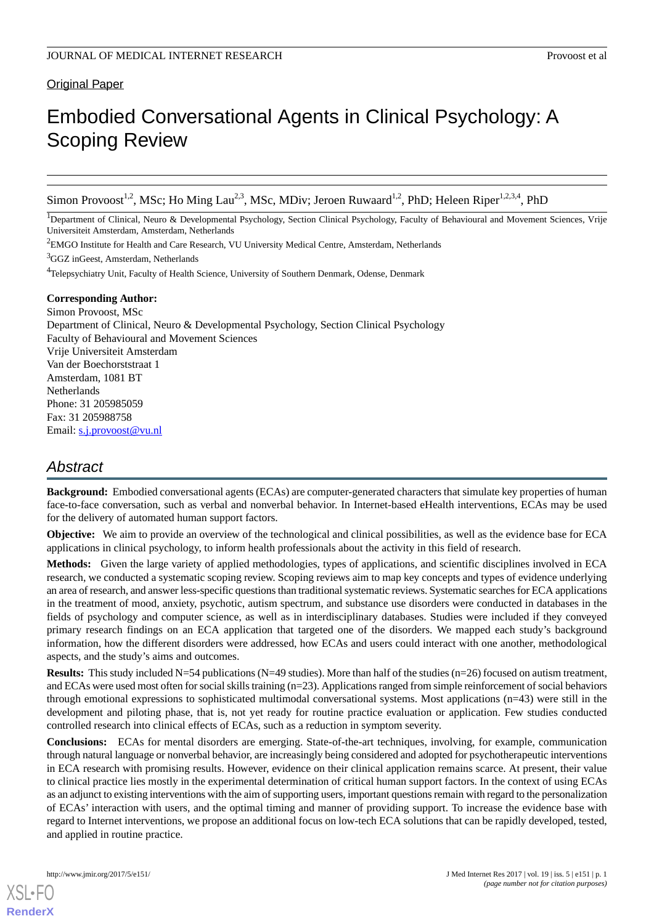# **Original Paper**

# Embodied Conversational Agents in Clinical Psychology: A Scoping Review

Simon Provoost<sup>1,2</sup>, MSc; Ho Ming Lau<sup>2,3</sup>, MSc, MDiv; Jeroen Ruwaard<sup>1,2</sup>, PhD; Heleen Riper<sup>1,2,3,4</sup>, PhD

<sup>1</sup>Department of Clinical, Neuro & Developmental Psychology, Section Clinical Psychology, Faculty of Behavioural and Movement Sciences, Vrije Universiteit Amsterdam, Amsterdam, Netherlands

<sup>2</sup>EMGO Institute for Health and Care Research, VU University Medical Centre, Amsterdam, Netherlands

<sup>3</sup>GGZ inGeest, Amsterdam, Netherlands

<sup>4</sup>Telepsychiatry Unit, Faculty of Health Science, University of Southern Denmark, Odense, Denmark

# **Corresponding Author:**

Simon Provoost, MSc Department of Clinical, Neuro & Developmental Psychology, Section Clinical Psychology Faculty of Behavioural and Movement Sciences Vrije Universiteit Amsterdam Van der Boechorststraat 1 Amsterdam, 1081 BT **Netherlands** Phone: 31 205985059 Fax: 31 205988758 Email: [s.j.provoost@vu.nl](mailto:s.j.provoost@vu.nl)

# *Abstract*

**Background:** Embodied conversational agents (ECAs) are computer-generated characters that simulate key properties of human face-to-face conversation, such as verbal and nonverbal behavior. In Internet-based eHealth interventions, ECAs may be used for the delivery of automated human support factors.

**Objective:** We aim to provide an overview of the technological and clinical possibilities, as well as the evidence base for ECA applications in clinical psychology, to inform health professionals about the activity in this field of research.

**Methods:** Given the large variety of applied methodologies, types of applications, and scientific disciplines involved in ECA research, we conducted a systematic scoping review. Scoping reviews aim to map key concepts and types of evidence underlying an area of research, and answer less-specific questions than traditional systematic reviews. Systematic searches for ECA applications in the treatment of mood, anxiety, psychotic, autism spectrum, and substance use disorders were conducted in databases in the fields of psychology and computer science, as well as in interdisciplinary databases. Studies were included if they conveyed primary research findings on an ECA application that targeted one of the disorders. We mapped each study's background information, how the different disorders were addressed, how ECAs and users could interact with one another, methodological aspects, and the study's aims and outcomes.

**Results:** This study included N=54 publications (N=49 studies). More than half of the studies (n=26) focused on autism treatment, and ECAs were used most often for social skills training (n=23). Applications ranged from simple reinforcement of social behaviors through emotional expressions to sophisticated multimodal conversational systems. Most applications (n=43) were still in the development and piloting phase, that is, not yet ready for routine practice evaluation or application. Few studies conducted controlled research into clinical effects of ECAs, such as a reduction in symptom severity.

**Conclusions:** ECAs for mental disorders are emerging. State-of-the-art techniques, involving, for example, communication through natural language or nonverbal behavior, are increasingly being considered and adopted for psychotherapeutic interventions in ECA research with promising results. However, evidence on their clinical application remains scarce. At present, their value to clinical practice lies mostly in the experimental determination of critical human support factors. In the context of using ECAs as an adjunct to existing interventions with the aim of supporting users, important questions remain with regard to the personalization of ECAs' interaction with users, and the optimal timing and manner of providing support. To increase the evidence base with regard to Internet interventions, we propose an additional focus on low-tech ECA solutions that can be rapidly developed, tested, and applied in routine practice.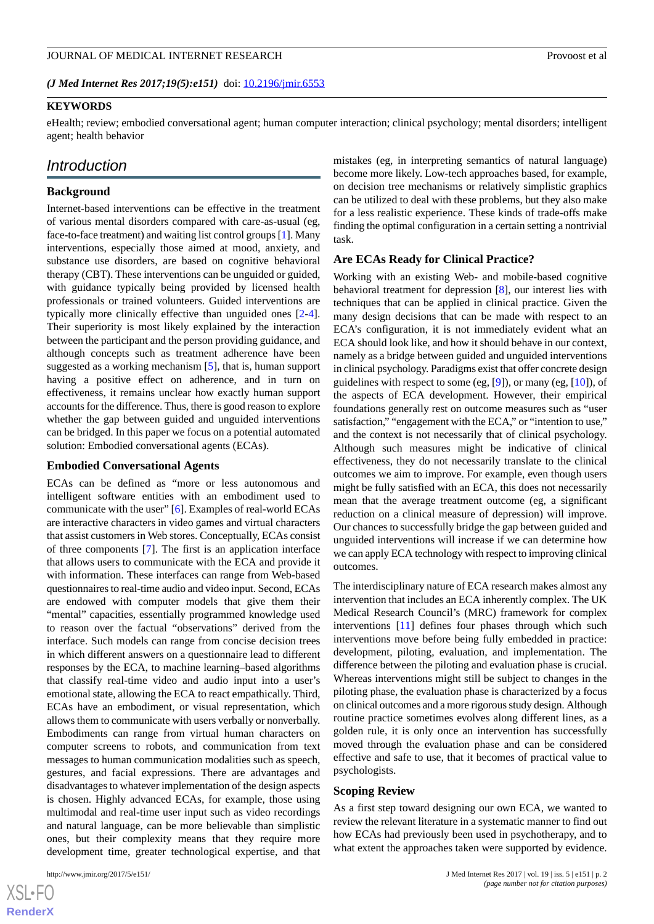*(J Med Internet Res 2017;19(5):e151)* doi:  $10.2196/$ jmir.6553

#### **KEYWORDS**

eHealth; review; embodied conversational agent; human computer interaction; clinical psychology; mental disorders; intelligent agent; health behavior

# *Introduction*

#### **Background**

Internet-based interventions can be effective in the treatment of various mental disorders compared with care-as-usual (eg, face-to-face treatment) and waiting list control groups [\[1](#page-13-0)]. Many interventions, especially those aimed at mood, anxiety, and substance use disorders, are based on cognitive behavioral therapy (CBT). These interventions can be unguided or guided, with guidance typically being provided by licensed health professionals or trained volunteers. Guided interventions are typically more clinically effective than unguided ones [\[2-](#page-13-1)[4\]](#page-13-2). Their superiority is most likely explained by the interaction between the participant and the person providing guidance, and although concepts such as treatment adherence have been suggested as a working mechanism [\[5](#page-13-3)], that is, human support having a positive effect on adherence, and in turn on effectiveness, it remains unclear how exactly human support accounts for the difference. Thus, there is good reason to explore whether the gap between guided and unguided interventions can be bridged. In this paper we focus on a potential automated solution: Embodied conversational agents (ECAs).

#### **Embodied Conversational Agents**

ECAs can be defined as "more or less autonomous and intelligent software entities with an embodiment used to communicate with the user" [\[6](#page-13-4)]. Examples of real-world ECAs are interactive characters in video games and virtual characters that assist customers in Web stores. Conceptually, ECAs consist of three components [[7\]](#page-13-5). The first is an application interface that allows users to communicate with the ECA and provide it with information. These interfaces can range from Web-based questionnaires to real-time audio and video input. Second, ECAs are endowed with computer models that give them their "mental" capacities, essentially programmed knowledge used to reason over the factual "observations" derived from the interface. Such models can range from concise decision trees in which different answers on a questionnaire lead to different responses by the ECA, to machine learning–based algorithms that classify real-time video and audio input into a user's emotional state, allowing the ECA to react empathically. Third, ECAs have an embodiment, or visual representation, which allows them to communicate with users verbally or nonverbally. Embodiments can range from virtual human characters on computer screens to robots, and communication from text messages to human communication modalities such as speech, gestures, and facial expressions. There are advantages and disadvantages to whatever implementation of the design aspects is chosen. Highly advanced ECAs, for example, those using multimodal and real-time user input such as video recordings and natural language, can be more believable than simplistic ones, but their complexity means that they require more development time, greater technological expertise, and that

mistakes (eg, in interpreting semantics of natural language) become more likely. Low-tech approaches based, for example, on decision tree mechanisms or relatively simplistic graphics can be utilized to deal with these problems, but they also make for a less realistic experience. These kinds of trade-offs make finding the optimal configuration in a certain setting a nontrivial task.

#### **Are ECAs Ready for Clinical Practice?**

Working with an existing Web- and mobile-based cognitive behavioral treatment for depression [\[8](#page-13-6)], our interest lies with techniques that can be applied in clinical practice. Given the many design decisions that can be made with respect to an ECA's configuration, it is not immediately evident what an ECA should look like, and how it should behave in our context, namely as a bridge between guided and unguided interventions in clinical psychology. Paradigms exist that offer concrete design guidelines with respect to some (eg, [\[9](#page-13-7)]), or many (eg, [\[10](#page-13-8)]), of the aspects of ECA development. However, their empirical foundations generally rest on outcome measures such as "user satisfaction," "engagement with the ECA," or "intention to use," and the context is not necessarily that of clinical psychology. Although such measures might be indicative of clinical effectiveness, they do not necessarily translate to the clinical outcomes we aim to improve. For example, even though users might be fully satisfied with an ECA, this does not necessarily mean that the average treatment outcome (eg, a significant reduction on a clinical measure of depression) will improve. Our chances to successfully bridge the gap between guided and unguided interventions will increase if we can determine how we can apply ECA technology with respect to improving clinical outcomes.

The interdisciplinary nature of ECA research makes almost any intervention that includes an ECA inherently complex. The UK Medical Research Council's (MRC) framework for complex interventions [[11\]](#page-13-9) defines four phases through which such interventions move before being fully embedded in practice: development, piloting, evaluation, and implementation. The difference between the piloting and evaluation phase is crucial. Whereas interventions might still be subject to changes in the piloting phase, the evaluation phase is characterized by a focus on clinical outcomes and a more rigorous study design. Although routine practice sometimes evolves along different lines, as a golden rule, it is only once an intervention has successfully moved through the evaluation phase and can be considered effective and safe to use, that it becomes of practical value to psychologists.

#### **Scoping Review**

As a first step toward designing our own ECA, we wanted to review the relevant literature in a systematic manner to find out how ECAs had previously been used in psychotherapy, and to what extent the approaches taken were supported by evidence.

 $XS$ -FO **[RenderX](http://www.renderx.com/)**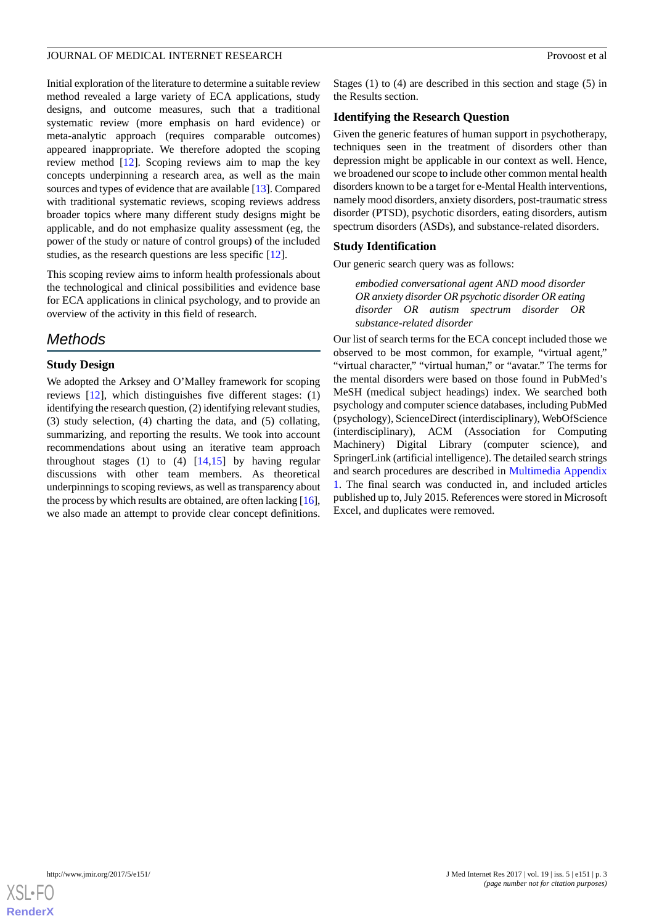Initial exploration of the literature to determine a suitable review method revealed a large variety of ECA applications, study designs, and outcome measures, such that a traditional systematic review (more emphasis on hard evidence) or meta-analytic approach (requires comparable outcomes) appeared inappropriate. We therefore adopted the scoping review method [\[12](#page-13-10)]. Scoping reviews aim to map the key concepts underpinning a research area, as well as the main sources and types of evidence that are available [\[13](#page-13-11)]. Compared with traditional systematic reviews, scoping reviews address broader topics where many different study designs might be applicable, and do not emphasize quality assessment (eg, the power of the study or nature of control groups) of the included studies, as the research questions are less specific [[12\]](#page-13-10).

This scoping review aims to inform health professionals about the technological and clinical possibilities and evidence base for ECA applications in clinical psychology, and to provide an overview of the activity in this field of research.

# *Methods*

# **Study Design**

We adopted the Arksey and O'Malley framework for scoping reviews [\[12](#page-13-10)], which distinguishes five different stages: (1) identifying the research question, (2) identifying relevant studies, (3) study selection, (4) charting the data, and (5) collating, summarizing, and reporting the results. We took into account recommendations about using an iterative team approach throughout stages (1) to (4) [[14](#page-13-12)[,15](#page-13-13)] by having regular discussions with other team members. As theoretical underpinnings to scoping reviews, as well as transparency about the process by which results are obtained, are often lacking [\[16\]](#page-13-14), we also made an attempt to provide clear concept definitions.

Stages (1) to (4) are described in this section and stage (5) in the Results section.

#### **Identifying the Research Question**

Given the generic features of human support in psychotherapy, techniques seen in the treatment of disorders other than depression might be applicable in our context as well. Hence, we broadened our scope to include other common mental health disorders known to be a target for e-Mental Health interventions, namely mood disorders, anxiety disorders, post-traumatic stress disorder (PTSD), psychotic disorders, eating disorders, autism spectrum disorders (ASDs), and substance-related disorders.

#### **Study Identification**

Our generic search query was as follows:

*embodied conversational agent AND mood disorder OR anxiety disorder OR psychotic disorder OR eating disorder OR autism spectrum disorder OR substance-related disorder*

Our list of search terms for the ECA concept included those we observed to be most common, for example, "virtual agent," "virtual character," "virtual human," or "avatar." The terms for the mental disorders were based on those found in PubMed's MeSH (medical subject headings) index. We searched both psychology and computer science databases, including PubMed (psychology), ScienceDirect (interdisciplinary), WebOfScience (interdisciplinary), ACM (Association for Computing Machinery) Digital Library (computer science), and SpringerLink (artificial intelligence). The detailed search strings and search procedures are described in [Multimedia Appendix](#page-13-15) [1.](#page-13-15) The final search was conducted in, and included articles published up to, July 2015. References were stored in Microsoft Excel, and duplicates were removed.

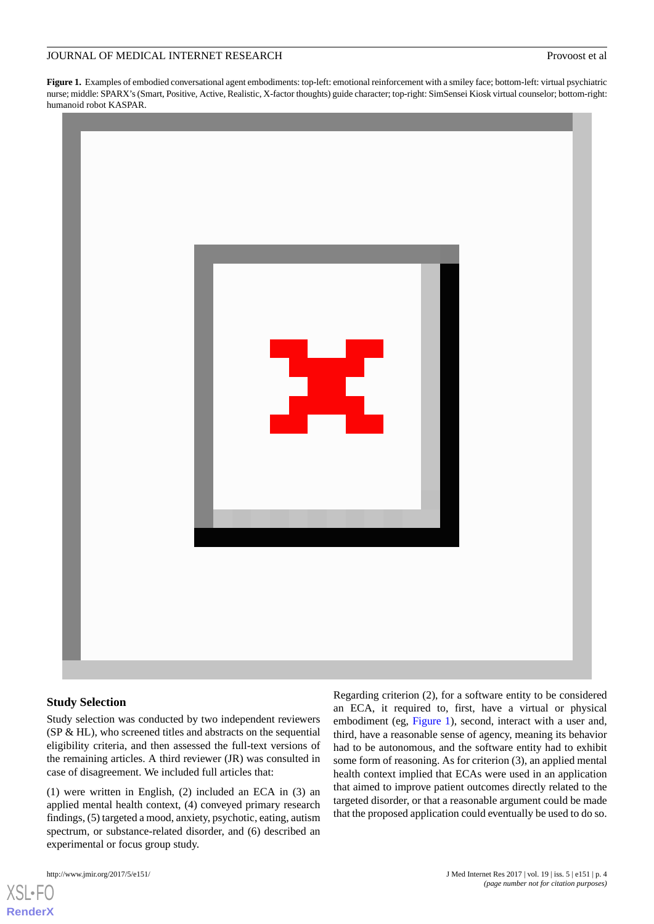<span id="page-3-0"></span>**Figure 1.** Examples of embodied conversational agent embodiments: top-left: emotional reinforcement with a smiley face; bottom-left: virtual psychiatric nurse; middle: SPARX's (Smart, Positive, Active, Realistic, X-factor thoughts) guide character; top-right: SimSensei Kiosk virtual counselor; bottom-right: humanoid robot KASPAR.



#### **Study Selection**

Study selection was conducted by two independent reviewers (SP & HL), who screened titles and abstracts on the sequential eligibility criteria, and then assessed the full-text versions of the remaining articles. A third reviewer (JR) was consulted in case of disagreement. We included full articles that:

(1) were written in English, (2) included an ECA in (3) an applied mental health context, (4) conveyed primary research findings, (5) targeted a mood, anxiety, psychotic, eating, autism spectrum, or substance-related disorder, and (6) described an experimental or focus group study.

[XSL](http://www.w3.org/Style/XSL)•FO **[RenderX](http://www.renderx.com/)**

Regarding criterion (2), for a software entity to be considered an ECA, it required to, first, have a virtual or physical embodiment (eg, [Figure 1](#page-3-0)), second, interact with a user and, third, have a reasonable sense of agency, meaning its behavior had to be autonomous, and the software entity had to exhibit some form of reasoning. As for criterion (3), an applied mental health context implied that ECAs were used in an application that aimed to improve patient outcomes directly related to the targeted disorder, or that a reasonable argument could be made that the proposed application could eventually be used to do so.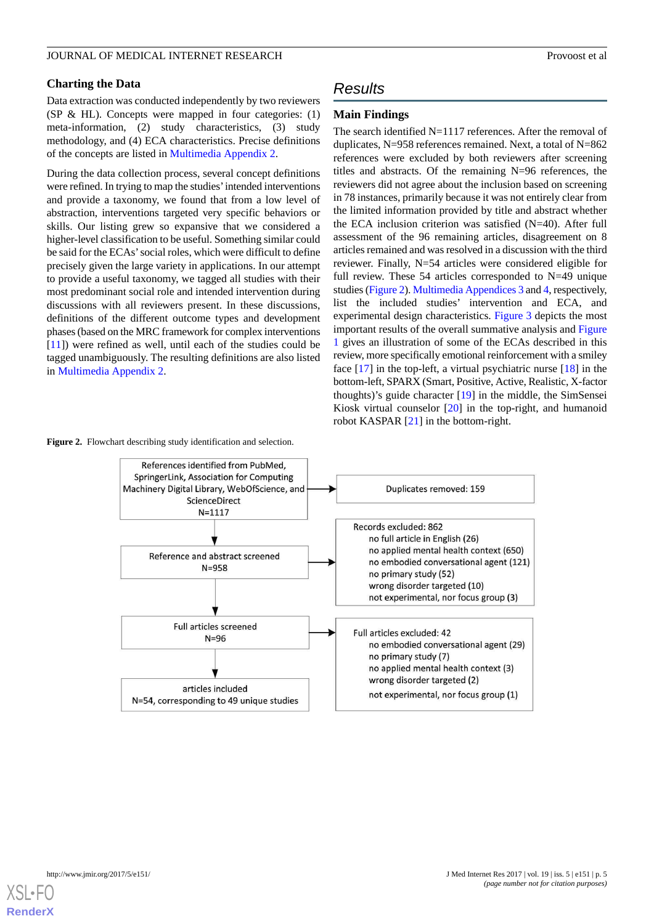#### **Charting the Data**

Data extraction was conducted independently by two reviewers (SP & HL). Concepts were mapped in four categories: (1) meta-information, (2) study characteristics, (3) study methodology, and (4) ECA characteristics. Precise definitions of the concepts are listed in [Multimedia Appendix 2.](#page-13-16)

During the data collection process, several concept definitions were refined. In trying to map the studies'intended interventions and provide a taxonomy, we found that from a low level of abstraction, interventions targeted very specific behaviors or skills. Our listing grew so expansive that we considered a higher-level classification to be useful. Something similar could be said for the ECAs'social roles, which were difficult to define precisely given the large variety in applications. In our attempt to provide a useful taxonomy, we tagged all studies with their most predominant social role and intended intervention during discussions with all reviewers present. In these discussions, definitions of the different outcome types and development phases (based on the MRC framework for complex interventions [[11\]](#page-13-9)) were refined as well, until each of the studies could be tagged unambiguously. The resulting definitions are also listed in [Multimedia Appendix 2.](#page-13-16)

#### <span id="page-4-0"></span>**Figure 2.** Flowchart describing study identification and selection.

# *Results*

#### **Main Findings**

The search identified N=1117 references. After the removal of duplicates, N=958 references remained. Next, a total of N=862 references were excluded by both reviewers after screening titles and abstracts. Of the remaining N=96 references, the reviewers did not agree about the inclusion based on screening in 78 instances, primarily because it was not entirely clear from the limited information provided by title and abstract whether the ECA inclusion criterion was satisfied (N=40). After full assessment of the 96 remaining articles, disagreement on 8 articles remained and was resolved in a discussion with the third reviewer. Finally, N=54 articles were considered eligible for full review. These 54 articles corresponded to N=49 unique studies [\(Figure 2](#page-4-0)). [Multimedia Appendices 3](#page-13-17) and [4,](#page-13-18) respectively, list the included studies' intervention and ECA, and experimental design characteristics. [Figure 3](#page-5-0) depicts the most important results of the overall summative analysis and [Figure](#page-3-0) [1](#page-3-0) gives an illustration of some of the ECAs described in this review, more specifically emotional reinforcement with a smiley face [\[17](#page-14-0)] in the top-left, a virtual psychiatric nurse [[18\]](#page-14-1) in the bottom-left, SPARX (Smart, Positive, Active, Realistic, X-factor thoughts)'s guide character [\[19](#page-14-2)] in the middle, the SimSensei Kiosk virtual counselor [[20\]](#page-14-3) in the top-right, and humanoid robot KASPAR [[21\]](#page-14-4) in the bottom-right.



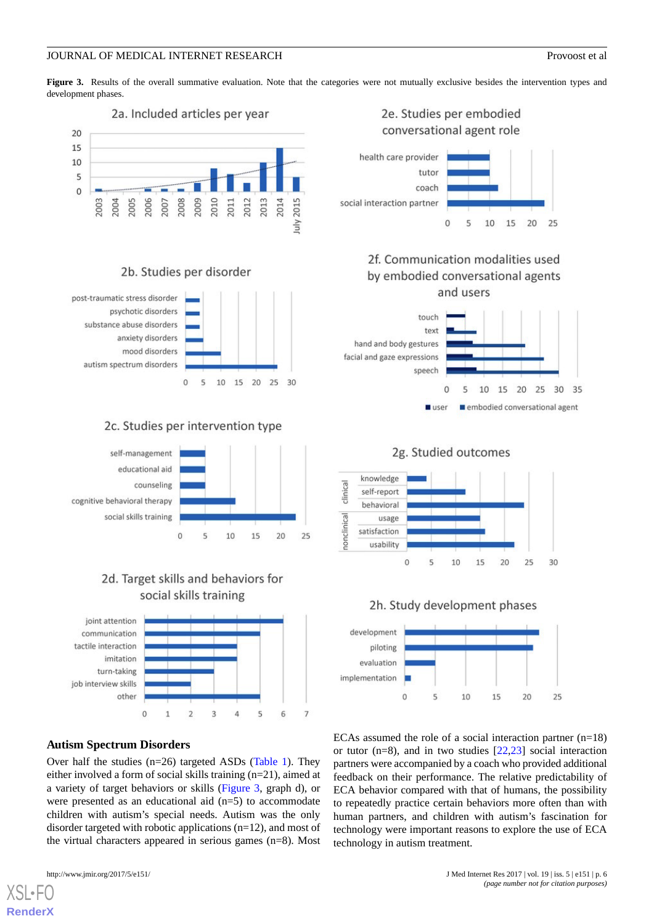<span id="page-5-0"></span>Figure 3. Results of the overall summative evaluation. Note that the categories were not mutually exclusive besides the intervention types and development phases.



# 2b. Studies per disorder



# 2c. Studies per intervention type



# 2d. Target skills and behaviors for social skills training



# **Autism Spectrum Disorders**

Over half the studies (n=26) targeted ASDs ([Table 1\)](#page-6-0). They either involved a form of social skills training (n=21), aimed at a variety of target behaviors or skills ([Figure 3](#page-5-0), graph d), or were presented as an educational aid  $(n=5)$  to accommodate children with autism's special needs. Autism was the only disorder targeted with robotic applications (n=12), and most of the virtual characters appeared in serious games (n=8). Most

[XSL](http://www.w3.org/Style/XSL)•FO **[RenderX](http://www.renderx.com/)**

# 2e. Studies per embodied conversational agent role health care provider



2f. Communication modalities used by embodied conversational agents and users





2g. Studied outcomes





ECAs assumed the role of a social interaction partner  $(n=18)$ or tutor ( $n=8$ ), and in two studies  $[22,23]$  $[22,23]$  $[22,23]$  $[22,23]$  social interaction partners were accompanied by a coach who provided additional feedback on their performance. The relative predictability of ECA behavior compared with that of humans, the possibility to repeatedly practice certain behaviors more often than with human partners, and children with autism's fascination for technology were important reasons to explore the use of ECA technology in autism treatment.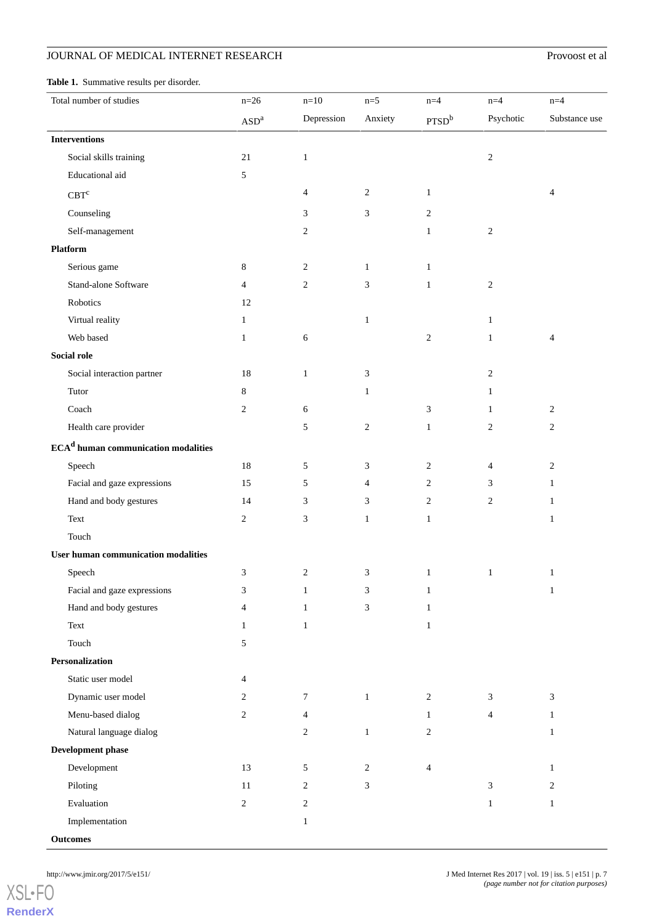# **JOURNAL OF MEDICAL INTERNET RESEARCH** Provoost et al

<span id="page-6-0"></span>

| <b>Table 1.</b> Summative results per disorder. |        |        |       |       |       |       |
|-------------------------------------------------|--------|--------|-------|-------|-------|-------|
| Total number of studies                         | $n=26$ | $n=10$ | $n=5$ | $n=4$ | $n=4$ | $n=4$ |
|                                                 |        |        |       |       |       |       |

| Total number of statics                                             | $11 - 20$                              | $11 - 10$      |                  |                          |                             |                |
|---------------------------------------------------------------------|----------------------------------------|----------------|------------------|--------------------------|-----------------------------|----------------|
|                                                                     | $\boldsymbol{\mathrm{ASD}^\mathrm{a}}$ | Depression     | Anxiety          | PTSD <sup>b</sup>        | Psychotic                   | Substance use  |
| <b>Interventions</b>                                                |                                        |                |                  |                          |                             |                |
| Social skills training                                              | $21\,$                                 | $\,1\,$        |                  |                          | $\sqrt{2}$                  |                |
| Educational aid                                                     | 5                                      |                |                  |                          |                             |                |
| $\mathrm{CBT}^{\mathrm{c}}$                                         |                                        | $\overline{4}$ | $\boldsymbol{2}$ | $\mathbf{1}$             |                             | 4              |
| Counseling                                                          |                                        | 3              | 3                | $\overline{c}$           |                             |                |
| Self-management                                                     |                                        | 2              |                  | $\mathbf{1}$             | $\sqrt{2}$                  |                |
| Platform                                                            |                                        |                |                  |                          |                             |                |
| Serious game                                                        | $\,8\,$                                | $\sqrt{2}$     | $\mathbf{1}$     | $\mathbf{1}$             |                             |                |
| Stand-alone Software                                                | $\overline{4}$                         | $\overline{c}$ | 3                | $\mathbf{1}$             | $\sqrt{2}$                  |                |
| Robotics                                                            | 12                                     |                |                  |                          |                             |                |
| Virtual reality                                                     | $\mathbf{1}$                           |                | $\mathbf{1}$     |                          | $\,1\,$                     |                |
| Web based                                                           | $\mathbf{1}$                           | 6              |                  | $\sqrt{2}$               | $\mathbf{1}$                | 4              |
| Social role                                                         |                                        |                |                  |                          |                             |                |
| Social interaction partner                                          | 18                                     | $\mathbf{1}$   | $\mathfrak{Z}$   |                          | $\boldsymbol{2}$            |                |
| Tutor                                                               | 8                                      |                | $\mathbf{1}$     |                          | $\mathbf{1}$                |                |
| $\operatorname{Coach}$                                              | $\sqrt{2}$                             | 6              |                  | 3                        | $\mathbf{1}$                | $\overline{c}$ |
| Health care provider                                                |                                        | 5              | $\overline{c}$   | $\mathbf{1}$             | $\overline{c}$              | $\sqrt{2}$     |
| $\ensuremath{\text{ECA}}^{\text{d}}$ human communication modalities |                                        |                |                  |                          |                             |                |
| Speech                                                              | 18                                     | $\sqrt{5}$     | 3                | $\overline{c}$           | $\overline{4}$              | $\overline{c}$ |
| Facial and gaze expressions                                         | 15                                     | 5              | 4                | $\overline{c}$           | 3                           | $\mathbf{1}$   |
| Hand and body gestures                                              | 14                                     | 3              | 3                | $\overline{c}$           | $\sqrt{2}$                  | $\mathbf{1}$   |
| Text                                                                | $\sqrt{2}$                             | 3              | $\mathbf{1}$     | $\mathbf{1}$             |                             | $\mathbf{1}$   |
| Touch                                                               |                                        |                |                  |                          |                             |                |
| <b>User human communication modalities</b>                          |                                        |                |                  |                          |                             |                |
| Speech                                                              | 3                                      | $\overline{c}$ | 3                | $\mathbf{1}$             | $\mathbf{1}$                | $\mathbf{1}$   |
| Facial and gaze expressions                                         | 3                                      | $\mathbf{1}$   | 3                | $\mathbf{1}$             |                             | $\mathbf{1}$   |
| Hand and body gestures                                              | 4                                      | $\mathbf{1}$   | 3                | $\mathbf{1}$             |                             |                |
| Text                                                                | $\mathbf{1}$                           | $\mathbf{1}$   |                  | $\mathbf{1}$             |                             |                |
| Touch                                                               | 5                                      |                |                  |                          |                             |                |
| Personalization                                                     |                                        |                |                  |                          |                             |                |
| Static user model                                                   | $\overline{4}$                         |                |                  |                          |                             |                |
| Dynamic user model                                                  | 2                                      | $\tau$         | $\mathbf{1}$     | $\overline{c}$           | $\mathfrak{Z}$              | 3              |
| Menu-based dialog                                                   | $\sqrt{2}$                             | $\overline{4}$ |                  | $\mathbf{1}$             | $\overline{4}$              | $\mathbf{1}$   |
| Natural language dialog                                             |                                        | $\overline{c}$ | $\mathbf{1}$     | $\overline{c}$           |                             | $\mathbf{1}$   |
| <b>Development phase</b>                                            |                                        |                |                  |                          |                             |                |
| Development                                                         | 13                                     | 5              | $\overline{c}$   | $\overline{\mathcal{L}}$ |                             | $\mathbf{1}$   |
| Piloting                                                            | 11                                     | $\overline{c}$ | 3                |                          | $\ensuremath{\mathfrak{Z}}$ | $\overline{c}$ |
| Evaluation                                                          | $\boldsymbol{2}$                       | 2              |                  |                          | $\mathbf{1}$                | $\mathbf{1}$   |
| Implementation                                                      |                                        | $\mathbf{1}$   |                  |                          |                             |                |
| <b>Outcomes</b>                                                     |                                        |                |                  |                          |                             |                |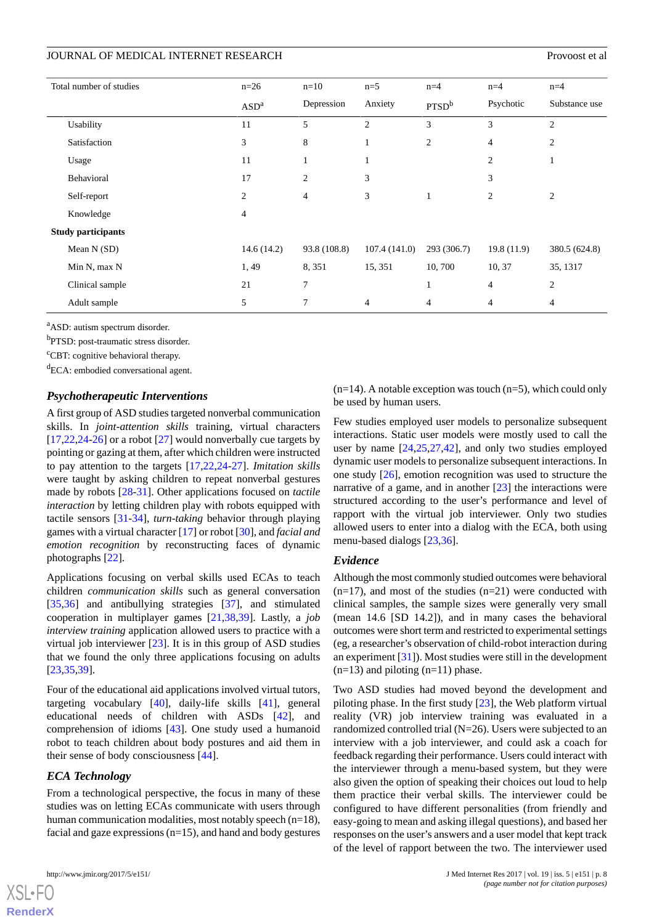| Total number of studies   | $n=26$           | $n=10$         | $n=5$          | $n=4$             | $n=4$          | $n=4$          |
|---------------------------|------------------|----------------|----------------|-------------------|----------------|----------------|
|                           | ASD <sup>a</sup> | Depression     | Anxiety        | PTSD <sup>b</sup> | Psychotic      | Substance use  |
| Usability                 | 11               | 5              | $\overline{2}$ | 3                 | 3              | $\overline{2}$ |
| Satisfaction              | 3                | 8              | $\mathbf{1}$   | 2                 | $\overline{4}$ | $\overline{2}$ |
| Usage                     | 11               | $\mathbf{1}$   | $\mathbf{1}$   |                   | $\overline{2}$ | 1              |
| Behavioral                | 17               | $\overline{2}$ | 3              |                   | 3              |                |
| Self-report               | $\overline{c}$   | $\overline{4}$ | 3              |                   | $\overline{2}$ | $\overline{2}$ |
| Knowledge                 | $\overline{4}$   |                |                |                   |                |                |
| <b>Study participants</b> |                  |                |                |                   |                |                |
| Mean N (SD)               | 14.6(14.2)       | 93.8 (108.8)   | 107.4(141.0)   | 293 (306.7)       | 19.8(11.9)     | 380.5 (624.8)  |
| Min N, max N              | 1,49             | 8,351          | 15, 351        | 10,700            | 10, 37         | 35, 1317       |
| Clinical sample           | 21               | $\overline{7}$ |                | 1                 | $\overline{4}$ | $\overline{2}$ |
| Adult sample              | 5                | 7              | $\overline{4}$ | $\overline{4}$    | $\overline{4}$ | 4              |

<sup>a</sup>ASD: autism spectrum disorder.

<sup>b</sup>PTSD: post-traumatic stress disorder.

<sup>c</sup>CBT: cognitive behavioral therapy.

<sup>d</sup>ECA: embodied conversational agent.

#### *Psychotherapeutic Interventions*

A first group of ASD studies targeted nonverbal communication skills. In *joint-attention skills* training, virtual characters  $[17,22,24-26]$  $[17,22,24-26]$  $[17,22,24-26]$  $[17,22,24-26]$  $[17,22,24-26]$  $[17,22,24-26]$  $[17,22,24-26]$  or a robot  $[27]$  $[27]$  would nonverbally cue targets by pointing or gazing at them, after which children were instructed to pay attention to the targets [[17,](#page-14-0)[22](#page-14-5),[24-](#page-14-7)[27\]](#page-14-9). *Imitation skills* were taught by asking children to repeat nonverbal gestures made by robots [\[28](#page-14-10)[-31](#page-14-11)]. Other applications focused on *tactile interaction* by letting children play with robots equipped with tactile sensors [\[31](#page-14-11)[-34](#page-14-12)], *turn-taking* behavior through playing games with a virtual character [[17\]](#page-14-0) or robot [[30\]](#page-14-13), and *facial and emotion recognition* by reconstructing faces of dynamic photographs [[22\]](#page-14-5).

Applications focusing on verbal skills used ECAs to teach children *communication skills* such as general conversation [[35](#page-14-14)[,36](#page-14-15)] and antibullying strategies [[37\]](#page-15-0), and stimulated cooperation in multiplayer games [\[21](#page-14-4)[,38](#page-15-1)[,39](#page-15-2)]. Lastly, a *job interview training* application allowed users to practice with a virtual job interviewer [[23\]](#page-14-6). It is in this group of ASD studies that we found the only three applications focusing on adults [[23](#page-14-6)[,35](#page-14-14),[39\]](#page-15-2).

Four of the educational aid applications involved virtual tutors, targeting vocabulary [[40\]](#page-15-3), daily-life skills [\[41](#page-15-4)], general educational needs of children with ASDs [\[42](#page-15-5)], and comprehension of idioms [[43\]](#page-15-6). One study used a humanoid robot to teach children about body postures and aid them in their sense of body consciousness [\[44](#page-15-7)].

#### *ECA Technology*

From a technological perspective, the focus in many of these studies was on letting ECAs communicate with users through human communication modalities, most notably speech (n=18), facial and gaze expressions  $(n=15)$ , and hand and body gestures

[XSL](http://www.w3.org/Style/XSL)•FO **[RenderX](http://www.renderx.com/)**

 $(n=14)$ . A notable exception was touch  $(n=5)$ , which could only be used by human users.

Few studies employed user models to personalize subsequent interactions. Static user models were mostly used to call the user by name [\[24](#page-14-7),[25,](#page-14-16)[27,](#page-14-9)[42\]](#page-15-5), and only two studies employed dynamic user models to personalize subsequent interactions. In one study [\[26](#page-14-8)], emotion recognition was used to structure the narrative of a game, and in another  $[23]$  $[23]$  the interactions were structured according to the user's performance and level of rapport with the virtual job interviewer. Only two studies allowed users to enter into a dialog with the ECA, both using menu-based dialogs [\[23](#page-14-6),[36\]](#page-14-15).

#### *Evidence*

Although the most commonly studied outcomes were behavioral  $(n=17)$ , and most of the studies  $(n=21)$  were conducted with clinical samples, the sample sizes were generally very small (mean 14.6 [SD 14.2]), and in many cases the behavioral outcomes were short term and restricted to experimental settings (eg, a researcher's observation of child-robot interaction during an experiment [\[31](#page-14-11)]). Most studies were still in the development  $(n=13)$  and piloting  $(n=11)$  phase.

Two ASD studies had moved beyond the development and piloting phase. In the first study [\[23](#page-14-6)], the Web platform virtual reality (VR) job interview training was evaluated in a randomized controlled trial (N=26). Users were subjected to an interview with a job interviewer, and could ask a coach for feedback regarding their performance. Users could interact with the interviewer through a menu-based system, but they were also given the option of speaking their choices out loud to help them practice their verbal skills. The interviewer could be configured to have different personalities (from friendly and easy-going to mean and asking illegal questions), and based her responses on the user's answers and a user model that kept track of the level of rapport between the two. The interviewer used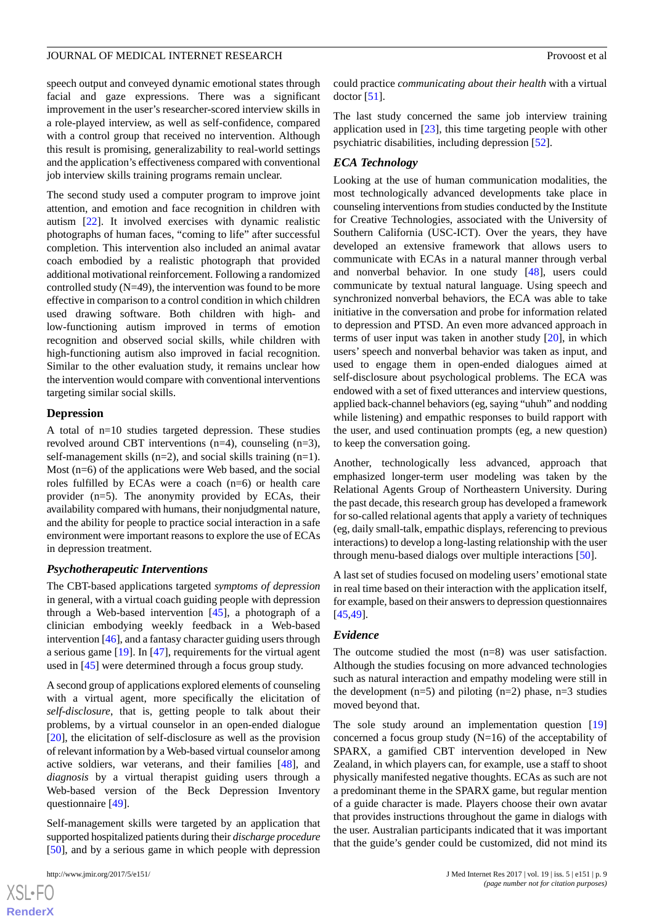#### JOURNAL OF MEDICAL INTERNET RESEARCH Provoost et al

speech output and conveyed dynamic emotional states through facial and gaze expressions. There was a significant improvement in the user's researcher-scored interview skills in a role-played interview, as well as self-confidence, compared with a control group that received no intervention. Although this result is promising, generalizability to real-world settings and the application's effectiveness compared with conventional job interview skills training programs remain unclear.

The second study used a computer program to improve joint attention, and emotion and face recognition in children with autism [[22\]](#page-14-5). It involved exercises with dynamic realistic photographs of human faces, "coming to life" after successful completion. This intervention also included an animal avatar coach embodied by a realistic photograph that provided additional motivational reinforcement. Following a randomized controlled study (N=49), the intervention was found to be more effective in comparison to a control condition in which children used drawing software. Both children with high- and low-functioning autism improved in terms of emotion recognition and observed social skills, while children with high-functioning autism also improved in facial recognition. Similar to the other evaluation study, it remains unclear how the intervention would compare with conventional interventions targeting similar social skills.

#### **Depression**

A total of n=10 studies targeted depression. These studies revolved around CBT interventions (n=4), counseling (n=3), self-management skills (n=2), and social skills training (n=1). Most (n=6) of the applications were Web based, and the social roles fulfilled by ECAs were a coach (n=6) or health care provider (n=5). The anonymity provided by ECAs, their availability compared with humans, their nonjudgmental nature, and the ability for people to practice social interaction in a safe environment were important reasons to explore the use of ECAs in depression treatment.

#### *Psychotherapeutic Interventions*

The CBT-based applications targeted *symptoms of depression* in general, with a virtual coach guiding people with depression through a Web-based intervention [\[45](#page-15-8)], a photograph of a clinician embodying weekly feedback in a Web-based intervention [[46\]](#page-15-9), and a fantasy character guiding users through a serious game [[19\]](#page-14-2). In [[47\]](#page-15-10), requirements for the virtual agent used in [[45\]](#page-15-8) were determined through a focus group study.

A second group of applications explored elements of counseling with a virtual agent, more specifically the elicitation of *self-disclosure*, that is, getting people to talk about their problems, by a virtual counselor in an open-ended dialogue [[20\]](#page-14-3), the elicitation of self-disclosure as well as the provision of relevant information by a Web-based virtual counselor among active soldiers, war veterans, and their families [[48\]](#page-15-11), and *diagnosis* by a virtual therapist guiding users through a Web-based version of the Beck Depression Inventory questionnaire [\[49](#page-15-12)].

Self-management skills were targeted by an application that supported hospitalized patients during their *discharge procedure* [[50\]](#page-15-13), and by a serious game in which people with depression

[XSL](http://www.w3.org/Style/XSL)•FO **[RenderX](http://www.renderx.com/)** could practice *communicating about their health* with a virtual doctor [\[51](#page-15-14)].

The last study concerned the same job interview training application used in [\[23](#page-14-6)], this time targeting people with other psychiatric disabilities, including depression [\[52](#page-15-15)].

# *ECA Technology*

Looking at the use of human communication modalities, the most technologically advanced developments take place in counseling interventions from studies conducted by the Institute for Creative Technologies, associated with the University of Southern California (USC-ICT). Over the years, they have developed an extensive framework that allows users to communicate with ECAs in a natural manner through verbal and nonverbal behavior. In one study [\[48](#page-15-11)], users could communicate by textual natural language. Using speech and synchronized nonverbal behaviors, the ECA was able to take initiative in the conversation and probe for information related to depression and PTSD. An even more advanced approach in terms of user input was taken in another study [[20\]](#page-14-3), in which users' speech and nonverbal behavior was taken as input, and used to engage them in open-ended dialogues aimed at self-disclosure about psychological problems. The ECA was endowed with a set of fixed utterances and interview questions, applied back-channel behaviors (eg, saying "uhuh" and nodding while listening) and empathic responses to build rapport with the user, and used continuation prompts (eg, a new question) to keep the conversation going.

Another, technologically less advanced, approach that emphasized longer-term user modeling was taken by the Relational Agents Group of Northeastern University. During the past decade, this research group has developed a framework for so-called relational agents that apply a variety of techniques (eg, daily small-talk, empathic displays, referencing to previous interactions) to develop a long-lasting relationship with the user through menu-based dialogs over multiple interactions [[50\]](#page-15-13).

A last set of studies focused on modeling users' emotional state in real time based on their interaction with the application itself, for example, based on their answers to depression questionnaires [[45,](#page-15-8)[49\]](#page-15-12).

#### *Evidence*

The outcome studied the most (n=8) was user satisfaction. Although the studies focusing on more advanced technologies such as natural interaction and empathy modeling were still in the development  $(n=5)$  and piloting  $(n=2)$  phase,  $n=3$  studies moved beyond that.

The sole study around an implementation question [\[19](#page-14-2)] concerned a focus group study (N=16) of the acceptability of SPARX, a gamified CBT intervention developed in New Zealand, in which players can, for example, use a staff to shoot physically manifested negative thoughts. ECAs as such are not a predominant theme in the SPARX game, but regular mention of a guide character is made. Players choose their own avatar that provides instructions throughout the game in dialogs with the user. Australian participants indicated that it was important that the guide's gender could be customized, did not mind its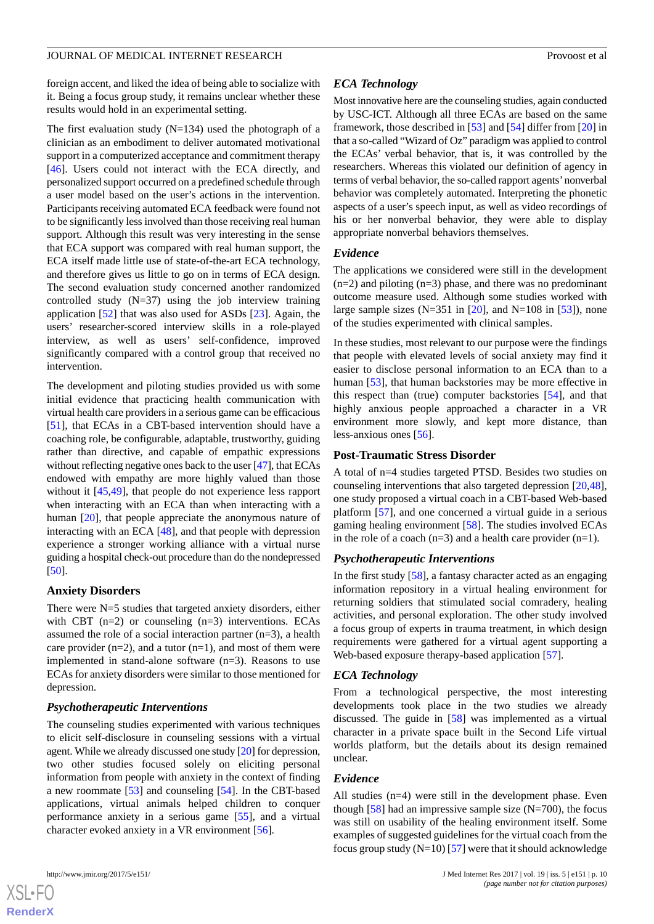foreign accent, and liked the idea of being able to socialize with it. Being a focus group study, it remains unclear whether these results would hold in an experimental setting.

The first evaluation study  $(N=134)$  used the photograph of a clinician as an embodiment to deliver automated motivational support in a computerized acceptance and commitment therapy [[46\]](#page-15-9). Users could not interact with the ECA directly, and personalized support occurred on a predefined schedule through a user model based on the user's actions in the intervention. Participants receiving automated ECA feedback were found not to be significantly less involved than those receiving real human support. Although this result was very interesting in the sense that ECA support was compared with real human support, the ECA itself made little use of state-of-the-art ECA technology, and therefore gives us little to go on in terms of ECA design. The second evaluation study concerned another randomized controlled study  $(N=37)$  using the job interview training application [\[52](#page-15-15)] that was also used for ASDs [[23\]](#page-14-6). Again, the users' researcher-scored interview skills in a role-played interview, as well as users' self-confidence, improved significantly compared with a control group that received no intervention.

The development and piloting studies provided us with some initial evidence that practicing health communication with virtual health care providers in a serious game can be efficacious [[51\]](#page-15-14), that ECAs in a CBT-based intervention should have a coaching role, be configurable, adaptable, trustworthy, guiding rather than directive, and capable of empathic expressions without reflecting negative ones back to the user [\[47\]](#page-15-10), that ECAs endowed with empathy are more highly valued than those without it [[45,](#page-15-8)[49](#page-15-12)], that people do not experience less rapport when interacting with an ECA than when interacting with a human [[20\]](#page-14-3), that people appreciate the anonymous nature of interacting with an ECA [\[48](#page-15-11)], and that people with depression experience a stronger working alliance with a virtual nurse guiding a hospital check-out procedure than do the nondepressed [[50\]](#page-15-13).

#### **Anxiety Disorders**

There were N=5 studies that targeted anxiety disorders, either with CBT  $(n=2)$  or counseling  $(n=3)$  interventions. ECAs assumed the role of a social interaction partner (n=3), a health care provider  $(n=2)$ , and a tutor  $(n=1)$ , and most of them were implemented in stand-alone software (n=3). Reasons to use ECAs for anxiety disorders were similar to those mentioned for depression.

#### *Psychotherapeutic Interventions*

The counseling studies experimented with various techniques to elicit self-disclosure in counseling sessions with a virtual agent. While we already discussed one study [\[20](#page-14-3)] for depression, two other studies focused solely on eliciting personal information from people with anxiety in the context of finding a new roommate [[53\]](#page-15-16) and counseling [[54\]](#page-15-17). In the CBT-based applications, virtual animals helped children to conquer performance anxiety in a serious game [\[55](#page-15-18)], and a virtual character evoked anxiety in a VR environment [\[56](#page-15-19)].

#### *ECA Technology*

Most innovative here are the counseling studies, again conducted by USC-ICT. Although all three ECAs are based on the same framework, those described in [\[53](#page-15-16)] and [[54\]](#page-15-17) differ from [\[20](#page-14-3)] in that a so-called "Wizard of Oz" paradigm was applied to control the ECAs' verbal behavior, that is, it was controlled by the researchers. Whereas this violated our definition of agency in terms of verbal behavior, the so-called rapport agents'nonverbal behavior was completely automated. Interpreting the phonetic aspects of a user's speech input, as well as video recordings of his or her nonverbal behavior, they were able to display appropriate nonverbal behaviors themselves.

#### *Evidence*

The applications we considered were still in the development  $(n=2)$  and piloting  $(n=3)$  phase, and there was no predominant outcome measure used. Although some studies worked with large sample sizes (N=351 in [\[20](#page-14-3)], and N=108 in [\[53](#page-15-16)]), none of the studies experimented with clinical samples.

In these studies, most relevant to our purpose were the findings that people with elevated levels of social anxiety may find it easier to disclose personal information to an ECA than to a human [\[53](#page-15-16)], that human backstories may be more effective in this respect than (true) computer backstories [[54\]](#page-15-17), and that highly anxious people approached a character in a VR environment more slowly, and kept more distance, than less-anxious ones [[56\]](#page-15-19).

#### **Post-Traumatic Stress Disorder**

A total of n=4 studies targeted PTSD. Besides two studies on counseling interventions that also targeted depression [\[20](#page-14-3),[48\]](#page-15-11), one study proposed a virtual coach in a CBT-based Web-based platform [[57\]](#page-15-20), and one concerned a virtual guide in a serious gaming healing environment [[58\]](#page-16-0). The studies involved ECAs in the role of a coach  $(n=3)$  and a health care provider  $(n=1)$ .

#### *Psychotherapeutic Interventions*

In the first study [[58\]](#page-16-0), a fantasy character acted as an engaging information repository in a virtual healing environment for returning soldiers that stimulated social comradery, healing activities, and personal exploration. The other study involved a focus group of experts in trauma treatment, in which design requirements were gathered for a virtual agent supporting a Web-based exposure therapy-based application [[57\]](#page-15-20).

#### *ECA Technology*

From a technological perspective, the most interesting developments took place in the two studies we already discussed. The guide in [[58\]](#page-16-0) was implemented as a virtual character in a private space built in the Second Life virtual worlds platform, but the details about its design remained unclear.

#### *Evidence*

All studies (n=4) were still in the development phase. Even though  $[58]$  $[58]$  had an impressive sample size (N=700), the focus was still on usability of the healing environment itself. Some examples of suggested guidelines for the virtual coach from the focus group study  $(N=10)$  [[57\]](#page-15-20) were that it should acknowledge

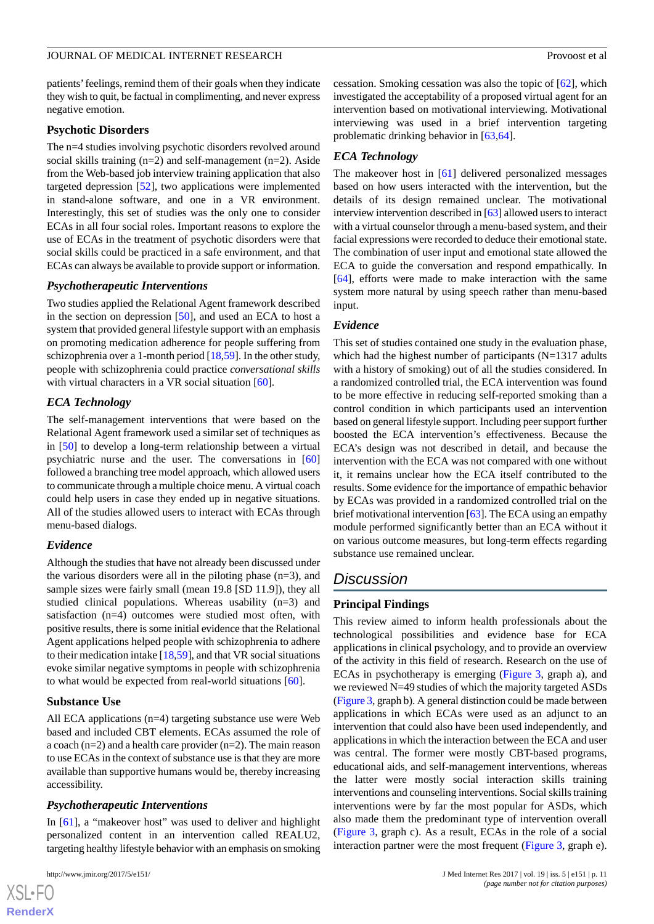patients' feelings, remind them of their goals when they indicate they wish to quit, be factual in complimenting, and never express negative emotion.

#### **Psychotic Disorders**

The n=4 studies involving psychotic disorders revolved around social skills training  $(n=2)$  and self-management  $(n=2)$ . Aside from the Web-based job interview training application that also targeted depression [\[52](#page-15-15)], two applications were implemented in stand-alone software, and one in a VR environment. Interestingly, this set of studies was the only one to consider ECAs in all four social roles. Important reasons to explore the use of ECAs in the treatment of psychotic disorders were that social skills could be practiced in a safe environment, and that ECAs can always be available to provide support or information.

#### *Psychotherapeutic Interventions*

Two studies applied the Relational Agent framework described in the section on depression  $[50]$  $[50]$ , and used an ECA to host a system that provided general lifestyle support with an emphasis on promoting medication adherence for people suffering from schizophrenia over a 1-month period [[18,](#page-14-1)[59\]](#page-16-1). In the other study, people with schizophrenia could practice *conversational skills* with virtual characters in a VR social situation [\[60](#page-16-2)].

#### *ECA Technology*

The self-management interventions that were based on the Relational Agent framework used a similar set of techniques as in [\[50](#page-15-13)] to develop a long-term relationship between a virtual psychiatric nurse and the user. The conversations in [\[60](#page-16-2)] followed a branching tree model approach, which allowed users to communicate through a multiple choice menu. A virtual coach could help users in case they ended up in negative situations. All of the studies allowed users to interact with ECAs through menu-based dialogs.

#### *Evidence*

Although the studies that have not already been discussed under the various disorders were all in the piloting phase  $(n=3)$ , and sample sizes were fairly small (mean 19.8 [SD 11.9]), they all studied clinical populations. Whereas usability (n=3) and satisfaction (n=4) outcomes were studied most often, with positive results, there is some initial evidence that the Relational Agent applications helped people with schizophrenia to adhere to their medication intake [\[18](#page-14-1)[,59](#page-16-1)], and that VR social situations evoke similar negative symptoms in people with schizophrenia to what would be expected from real-world situations [\[60](#page-16-2)].

#### **Substance Use**

All ECA applications (n=4) targeting substance use were Web based and included CBT elements. ECAs assumed the role of a coach (n=2) and a health care provider (n=2). The main reason to use ECAs in the context of substance use is that they are more available than supportive humans would be, thereby increasing accessibility.

#### *Psychotherapeutic Interventions*

In [[61\]](#page-16-3), a "makeover host" was used to deliver and highlight personalized content in an intervention called REALU2, targeting healthy lifestyle behavior with an emphasis on smoking

 $XS$ -FO **[RenderX](http://www.renderx.com/)**

cessation. Smoking cessation was also the topic of [\[62](#page-16-4)], which investigated the acceptability of a proposed virtual agent for an intervention based on motivational interviewing. Motivational interviewing was used in a brief intervention targeting problematic drinking behavior in [\[63](#page-16-5),[64\]](#page-16-6).

#### *ECA Technology*

The makeover host in [\[61](#page-16-3)] delivered personalized messages based on how users interacted with the intervention, but the details of its design remained unclear. The motivational interview intervention described in [[63\]](#page-16-5) allowed users to interact with a virtual counselor through a menu-based system, and their facial expressions were recorded to deduce their emotional state. The combination of user input and emotional state allowed the ECA to guide the conversation and respond empathically. In [[64\]](#page-16-6), efforts were made to make interaction with the same system more natural by using speech rather than menu-based input.

#### *Evidence*

This set of studies contained one study in the evaluation phase, which had the highest number of participants (N=1317 adults with a history of smoking) out of all the studies considered. In a randomized controlled trial, the ECA intervention was found to be more effective in reducing self-reported smoking than a control condition in which participants used an intervention based on general lifestyle support. Including peer support further boosted the ECA intervention's effectiveness. Because the ECA's design was not described in detail, and because the intervention with the ECA was not compared with one without it, it remains unclear how the ECA itself contributed to the results. Some evidence for the importance of empathic behavior by ECAs was provided in a randomized controlled trial on the brief motivational intervention [[63\]](#page-16-5). The ECA using an empathy module performed significantly better than an ECA without it on various outcome measures, but long-term effects regarding substance use remained unclear.

# *Discussion*

#### **Principal Findings**

This review aimed to inform health professionals about the technological possibilities and evidence base for ECA applications in clinical psychology, and to provide an overview of the activity in this field of research. Research on the use of ECAs in psychotherapy is emerging [\(Figure 3,](#page-5-0) graph a), and we reviewed N=49 studies of which the majority targeted ASDs ([Figure 3](#page-5-0), graph b). A general distinction could be made between applications in which ECAs were used as an adjunct to an intervention that could also have been used independently, and applications in which the interaction between the ECA and user was central. The former were mostly CBT-based programs, educational aids, and self-management interventions, whereas the latter were mostly social interaction skills training interventions and counseling interventions. Social skills training interventions were by far the most popular for ASDs, which also made them the predominant type of intervention overall ([Figure 3](#page-5-0), graph c). As a result, ECAs in the role of a social interaction partner were the most frequent [\(Figure 3,](#page-5-0) graph e).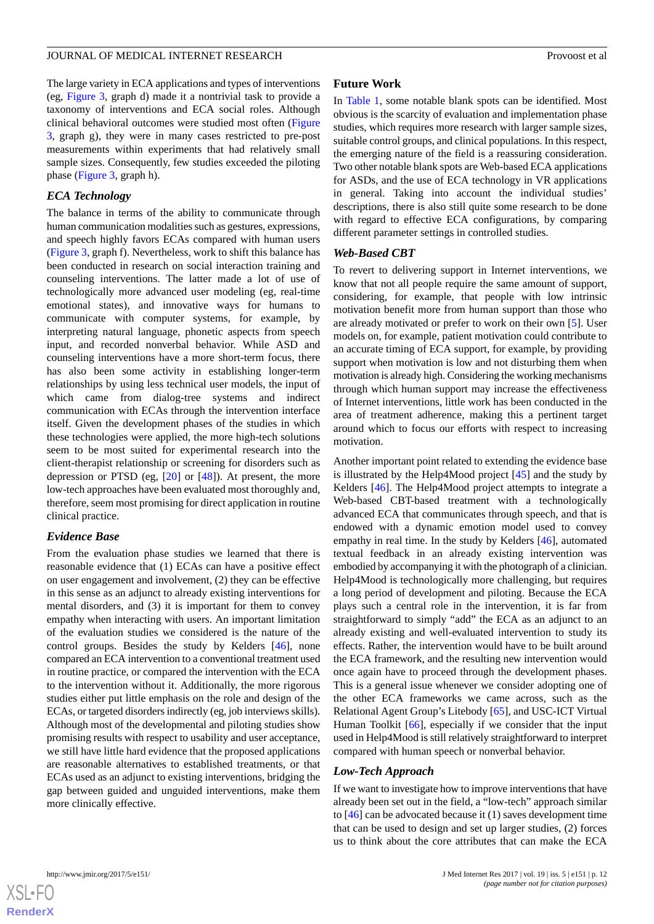The large variety in ECA applications and types of interventions (eg, [Figure 3,](#page-5-0) graph d) made it a nontrivial task to provide a taxonomy of interventions and ECA social roles. Although clinical behavioral outcomes were studied most often ([Figure](#page-5-0) [3,](#page-5-0) graph g), they were in many cases restricted to pre-post measurements within experiments that had relatively small sample sizes. Consequently, few studies exceeded the piloting phase [\(Figure 3,](#page-5-0) graph h).

#### *ECA Technology*

The balance in terms of the ability to communicate through human communication modalities such as gestures, expressions, and speech highly favors ECAs compared with human users ([Figure 3](#page-5-0), graph f). Nevertheless, work to shift this balance has been conducted in research on social interaction training and counseling interventions. The latter made a lot of use of technologically more advanced user modeling (eg, real-time emotional states), and innovative ways for humans to communicate with computer systems, for example, by interpreting natural language, phonetic aspects from speech input, and recorded nonverbal behavior. While ASD and counseling interventions have a more short-term focus, there has also been some activity in establishing longer-term relationships by using less technical user models, the input of which came from dialog-tree systems and indirect communication with ECAs through the intervention interface itself. Given the development phases of the studies in which these technologies were applied, the more high-tech solutions seem to be most suited for experimental research into the client-therapist relationship or screening for disorders such as depression or PTSD (eg, [\[20](#page-14-3)] or [[48\]](#page-15-11)). At present, the more low-tech approaches have been evaluated most thoroughly and, therefore, seem most promising for direct application in routine clinical practice.

#### *Evidence Base*

From the evaluation phase studies we learned that there is reasonable evidence that (1) ECAs can have a positive effect on user engagement and involvement, (2) they can be effective in this sense as an adjunct to already existing interventions for mental disorders, and (3) it is important for them to convey empathy when interacting with users. An important limitation of the evaluation studies we considered is the nature of the control groups. Besides the study by Kelders [\[46](#page-15-9)], none compared an ECA intervention to a conventional treatment used in routine practice, or compared the intervention with the ECA to the intervention without it. Additionally, the more rigorous studies either put little emphasis on the role and design of the ECAs, or targeted disorders indirectly (eg, job interviews skills). Although most of the developmental and piloting studies show promising results with respect to usability and user acceptance, we still have little hard evidence that the proposed applications are reasonable alternatives to established treatments, or that ECAs used as an adjunct to existing interventions, bridging the gap between guided and unguided interventions, make them more clinically effective.

#### **Future Work**

In [Table 1,](#page-6-0) some notable blank spots can be identified. Most obvious is the scarcity of evaluation and implementation phase studies, which requires more research with larger sample sizes, suitable control groups, and clinical populations. In this respect, the emerging nature of the field is a reassuring consideration. Two other notable blank spots are Web-based ECA applications for ASDs, and the use of ECA technology in VR applications in general. Taking into account the individual studies' descriptions, there is also still quite some research to be done with regard to effective ECA configurations, by comparing different parameter settings in controlled studies.

#### *Web-Based CBT*

To revert to delivering support in Internet interventions, we know that not all people require the same amount of support, considering, for example, that people with low intrinsic motivation benefit more from human support than those who are already motivated or prefer to work on their own [\[5](#page-13-3)]. User models on, for example, patient motivation could contribute to an accurate timing of ECA support, for example, by providing support when motivation is low and not disturbing them when motivation is already high. Considering the working mechanisms through which human support may increase the effectiveness of Internet interventions, little work has been conducted in the area of treatment adherence, making this a pertinent target around which to focus our efforts with respect to increasing motivation.

Another important point related to extending the evidence base is illustrated by the Help4Mood project [\[45](#page-15-8)] and the study by Kelders [\[46](#page-15-9)]. The Help4Mood project attempts to integrate a Web-based CBT-based treatment with a technologically advanced ECA that communicates through speech, and that is endowed with a dynamic emotion model used to convey empathy in real time. In the study by Kelders [\[46](#page-15-9)], automated textual feedback in an already existing intervention was embodied by accompanying it with the photograph of a clinician. Help4Mood is technologically more challenging, but requires a long period of development and piloting. Because the ECA plays such a central role in the intervention, it is far from straightforward to simply "add" the ECA as an adjunct to an already existing and well-evaluated intervention to study its effects. Rather, the intervention would have to be built around the ECA framework, and the resulting new intervention would once again have to proceed through the development phases. This is a general issue whenever we consider adopting one of the other ECA frameworks we came across, such as the Relational Agent Group's Litebody [\[65](#page-16-7)], and USC-ICT Virtual Human Toolkit [\[66](#page-16-8)], especially if we consider that the input used in Help4Mood is still relatively straightforward to interpret compared with human speech or nonverbal behavior.

#### *Low-Tech Approach*

If we want to investigate how to improve interventions that have already been set out in the field, a "low-tech" approach similar to [[46\]](#page-15-9) can be advocated because it (1) saves development time that can be used to design and set up larger studies, (2) forces us to think about the core attributes that can make the ECA

**[RenderX](http://www.renderx.com/)**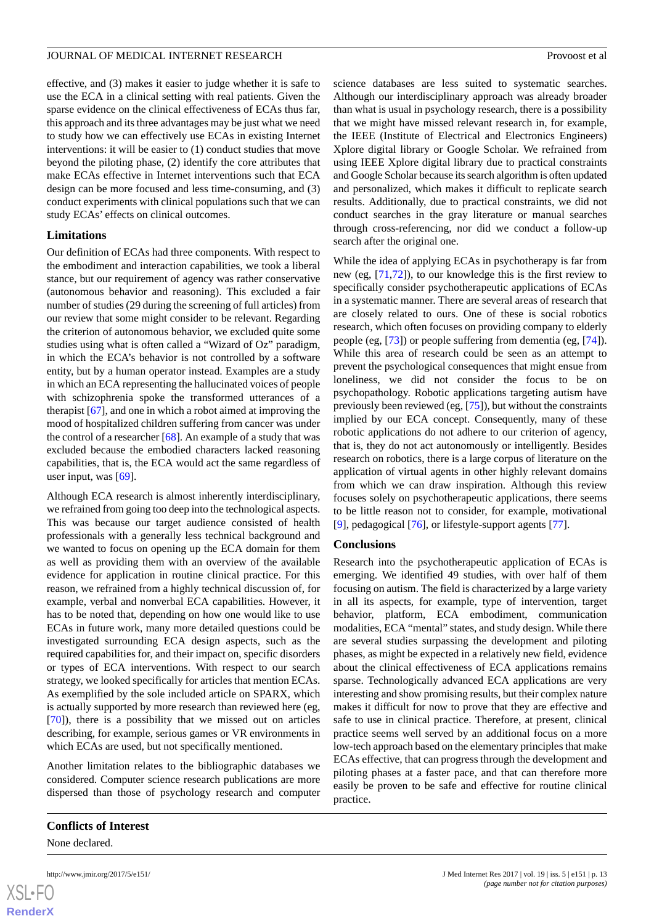effective, and (3) makes it easier to judge whether it is safe to use the ECA in a clinical setting with real patients. Given the sparse evidence on the clinical effectiveness of ECAs thus far, this approach and its three advantages may be just what we need to study how we can effectively use ECAs in existing Internet interventions: it will be easier to (1) conduct studies that move beyond the piloting phase, (2) identify the core attributes that make ECAs effective in Internet interventions such that ECA design can be more focused and less time-consuming, and (3) conduct experiments with clinical populations such that we can study ECAs' effects on clinical outcomes.

# **Limitations**

Our definition of ECAs had three components. With respect to the embodiment and interaction capabilities, we took a liberal stance, but our requirement of agency was rather conservative (autonomous behavior and reasoning). This excluded a fair number of studies (29 during the screening of full articles) from our review that some might consider to be relevant. Regarding the criterion of autonomous behavior, we excluded quite some studies using what is often called a "Wizard of Oz" paradigm, in which the ECA's behavior is not controlled by a software entity, but by a human operator instead. Examples are a study in which an ECA representing the hallucinated voices of people with schizophrenia spoke the transformed utterances of a therapist [\[67](#page-16-9)], and one in which a robot aimed at improving the mood of hospitalized children suffering from cancer was under the control of a researcher [[68\]](#page-16-10). An example of a study that was excluded because the embodied characters lacked reasoning capabilities, that is, the ECA would act the same regardless of user input, was  $[69]$  $[69]$ .

Although ECA research is almost inherently interdisciplinary, we refrained from going too deep into the technological aspects. This was because our target audience consisted of health professionals with a generally less technical background and we wanted to focus on opening up the ECA domain for them as well as providing them with an overview of the available evidence for application in routine clinical practice. For this reason, we refrained from a highly technical discussion of, for example, verbal and nonverbal ECA capabilities. However, it has to be noted that, depending on how one would like to use ECAs in future work, many more detailed questions could be investigated surrounding ECA design aspects, such as the required capabilities for, and their impact on, specific disorders or types of ECA interventions. With respect to our search strategy, we looked specifically for articles that mention ECAs. As exemplified by the sole included article on SPARX, which is actually supported by more research than reviewed here (eg, [[70\]](#page-16-12)), there is a possibility that we missed out on articles describing, for example, serious games or VR environments in which ECAs are used, but not specifically mentioned.

Another limitation relates to the bibliographic databases we considered. Computer science research publications are more dispersed than those of psychology research and computer

 $XSI - F($ **[RenderX](http://www.renderx.com/)** science databases are less suited to systematic searches. Although our interdisciplinary approach was already broader than what is usual in psychology research, there is a possibility that we might have missed relevant research in, for example, the IEEE (Institute of Electrical and Electronics Engineers) Xplore digital library or Google Scholar. We refrained from using IEEE Xplore digital library due to practical constraints and Google Scholar because its search algorithm is often updated and personalized, which makes it difficult to replicate search results. Additionally, due to practical constraints, we did not conduct searches in the gray literature or manual searches through cross-referencing, nor did we conduct a follow-up search after the original one.

While the idea of applying ECAs in psychotherapy is far from new (eg, [[71,](#page-16-13)[72](#page-16-14)]), to our knowledge this is the first review to specifically consider psychotherapeutic applications of ECAs in a systematic manner. There are several areas of research that are closely related to ours. One of these is social robotics research, which often focuses on providing company to elderly people (eg, [[73\]](#page-16-15)) or people suffering from dementia (eg, [[74\]](#page-16-16)). While this area of research could be seen as an attempt to prevent the psychological consequences that might ensue from loneliness, we did not consider the focus to be on psychopathology. Robotic applications targeting autism have previously been reviewed (eg, [[75](#page-16-17)]), but without the constraints implied by our ECA concept. Consequently, many of these robotic applications do not adhere to our criterion of agency, that is, they do not act autonomously or intelligently. Besides research on robotics, there is a large corpus of literature on the application of virtual agents in other highly relevant domains from which we can draw inspiration. Although this review focuses solely on psychotherapeutic applications, there seems to be little reason not to consider, for example, motivational [[9\]](#page-13-7), pedagogical [\[76](#page-16-18)], or lifestyle-support agents [\[77](#page-16-19)].

#### **Conclusions**

Research into the psychotherapeutic application of ECAs is emerging. We identified 49 studies, with over half of them focusing on autism. The field is characterized by a large variety in all its aspects, for example, type of intervention, target behavior, platform, ECA embodiment, communication modalities, ECA "mental" states, and study design. While there are several studies surpassing the development and piloting phases, as might be expected in a relatively new field, evidence about the clinical effectiveness of ECA applications remains sparse. Technologically advanced ECA applications are very interesting and show promising results, but their complex nature makes it difficult for now to prove that they are effective and safe to use in clinical practice. Therefore, at present, clinical practice seems well served by an additional focus on a more low-tech approach based on the elementary principles that make ECAs effective, that can progress through the development and piloting phases at a faster pace, and that can therefore more easily be proven to be safe and effective for routine clinical practice.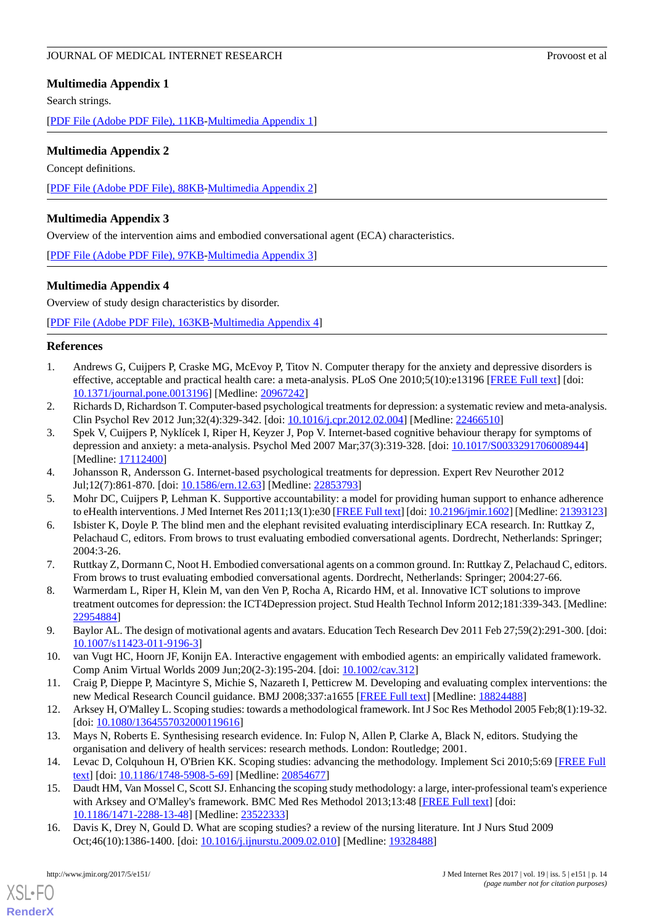# <span id="page-13-15"></span>**Multimedia Appendix 1**

Search strings.

<span id="page-13-16"></span>[[PDF File \(Adobe PDF File\), 11KB-Multimedia Appendix 1](https://jmir.org/api/download?alt_name=jmir_v19i5e151_app1.pdf&filename=ff06715c67a120a6826a6fcc7bd28a24.pdf)]

# **Multimedia Appendix 2**

Concept definitions. [[PDF File \(Adobe PDF File\), 88KB-Multimedia Appendix 2](https://jmir.org/api/download?alt_name=jmir_v19i5e151_app2.pdf&filename=b5136be1b8b9210f43d8c130f27e2a8f.pdf)]

# <span id="page-13-17"></span>**Multimedia Appendix 3**

Overview of the intervention aims and embodied conversational agent (ECA) characteristics.

<span id="page-13-18"></span>[[PDF File \(Adobe PDF File\), 97KB-Multimedia Appendix 3](https://jmir.org/api/download?alt_name=jmir_v19i5e151_app3.pdf&filename=4b5ef81b578f913039f5425233d45f8f.pdf)]

# **Multimedia Appendix 4**

Overview of study design characteristics by disorder.

<span id="page-13-0"></span>[[PDF File \(Adobe PDF File\), 163KB-Multimedia Appendix 4](https://jmir.org/api/download?alt_name=jmir_v19i5e151_app4.pdf&filename=421a2ead4093d046a261699c34600b66.pdf)]

#### **References**

- <span id="page-13-1"></span>1. Andrews G, Cuijpers P, Craske MG, McEvoy P, Titov N. Computer therapy for the anxiety and depressive disorders is effective, acceptable and practical health care: a meta-analysis. PLoS One 2010;5(10):e13196 [[FREE Full text](http://dx.plos.org/10.1371/journal.pone.0013196)] [doi: [10.1371/journal.pone.0013196\]](http://dx.doi.org/10.1371/journal.pone.0013196) [Medline: [20967242](http://www.ncbi.nlm.nih.gov/entrez/query.fcgi?cmd=Retrieve&db=PubMed&list_uids=20967242&dopt=Abstract)]
- 2. Richards D, Richardson T. Computer-based psychological treatments for depression: a systematic review and meta-analysis. Clin Psychol Rev 2012 Jun;32(4):329-342. [doi: [10.1016/j.cpr.2012.02.004](http://dx.doi.org/10.1016/j.cpr.2012.02.004)] [Medline: [22466510](http://www.ncbi.nlm.nih.gov/entrez/query.fcgi?cmd=Retrieve&db=PubMed&list_uids=22466510&dopt=Abstract)]
- <span id="page-13-3"></span><span id="page-13-2"></span>3. Spek V, Cuijpers P, Nyklícek I, Riper H, Keyzer J, Pop V. Internet-based cognitive behaviour therapy for symptoms of depression and anxiety: a meta-analysis. Psychol Med 2007 Mar;37(3):319-328. [doi: [10.1017/S0033291706008944](http://dx.doi.org/10.1017/S0033291706008944)] [Medline: [17112400](http://www.ncbi.nlm.nih.gov/entrez/query.fcgi?cmd=Retrieve&db=PubMed&list_uids=17112400&dopt=Abstract)]
- <span id="page-13-4"></span>4. Johansson R, Andersson G. Internet-based psychological treatments for depression. Expert Rev Neurother 2012 Jul;12(7):861-870. [doi: [10.1586/ern.12.63](http://dx.doi.org/10.1586/ern.12.63)] [Medline: [22853793\]](http://www.ncbi.nlm.nih.gov/entrez/query.fcgi?cmd=Retrieve&db=PubMed&list_uids=22853793&dopt=Abstract)
- <span id="page-13-5"></span>5. Mohr DC, Cuijpers P, Lehman K. Supportive accountability: a model for providing human support to enhance adherence to eHealth interventions. J Med Internet Res 2011;13(1):e30 [\[FREE Full text\]](http://dschool.stanford.edu/wp-content/uploads/2011/03/BootcampBootleg2010v2SLIM.pdf) [doi: [10.2196/jmir.1602\]](http://dx.doi.org/10.2196/jmir.1602) [Medline: [21393123\]](http://www.ncbi.nlm.nih.gov/entrez/query.fcgi?cmd=Retrieve&db=PubMed&list_uids=21393123&dopt=Abstract)
- <span id="page-13-6"></span>6. Isbister K, Doyle P. The blind men and the elephant revisited evaluating interdisciplinary ECA research. In: Ruttkay Z, Pelachaud C, editors. From brows to trust evaluating embodied conversational agents. Dordrecht, Netherlands: Springer; 2004:3-26.
- <span id="page-13-7"></span>7. Ruttkay Z, Dormann C, Noot H. Embodied conversational agents on a common ground. In: Ruttkay Z, Pelachaud C, editors. From brows to trust evaluating embodied conversational agents. Dordrecht, Netherlands: Springer; 2004:27-66.
- <span id="page-13-8"></span>8. Warmerdam L, Riper H, Klein M, van den Ven P, Rocha A, Ricardo HM, et al. Innovative ICT solutions to improve treatment outcomes for depression: the ICT4Depression project. Stud Health Technol Inform 2012;181:339-343. [Medline: [22954884](http://www.ncbi.nlm.nih.gov/entrez/query.fcgi?cmd=Retrieve&db=PubMed&list_uids=22954884&dopt=Abstract)]
- <span id="page-13-10"></span><span id="page-13-9"></span>9. Baylor AL. The design of motivational agents and avatars. Education Tech Research Dev 2011 Feb 27;59(2):291-300. [doi: [10.1007/s11423-011-9196-3\]](http://dx.doi.org/10.1007/s11423-011-9196-3)
- <span id="page-13-11"></span>10. van Vugt HC, Hoorn JF, Konijn EA. Interactive engagement with embodied agents: an empirically validated framework. Comp Anim Virtual Worlds 2009 Jun;20(2-3):195-204. [doi: [10.1002/cav.312\]](http://dx.doi.org/10.1002/cav.312)
- <span id="page-13-12"></span>11. Craig P, Dieppe P, Macintyre S, Michie S, Nazareth I, Petticrew M. Developing and evaluating complex interventions: the new Medical Research Council guidance. BMJ 2008;337:a1655 [[FREE Full text](http://europepmc.org/abstract/MED/18824488)] [Medline: [18824488](http://www.ncbi.nlm.nih.gov/entrez/query.fcgi?cmd=Retrieve&db=PubMed&list_uids=18824488&dopt=Abstract)]
- <span id="page-13-13"></span>12. Arksey H, O'Malley L. Scoping studies: towards a methodological framework. Int J Soc Res Methodol 2005 Feb;8(1):19-32. [doi: [10.1080/1364557032000119616](http://dx.doi.org/10.1080/1364557032000119616)]
- <span id="page-13-14"></span>13. Mays N, Roberts E. Synthesising research evidence. In: Fulop N, Allen P, Clarke A, Black N, editors. Studying the organisation and delivery of health services: research methods. London: Routledge; 2001.
- 14. Levac D, Colquhoun H, O'Brien KK. Scoping studies: advancing the methodology. Implement Sci 2010;5:69 [[FREE Full](http://www.implementationscience.com/content/5//69) [text](http://www.implementationscience.com/content/5//69)] [doi: [10.1186/1748-5908-5-69\]](http://dx.doi.org/10.1186/1748-5908-5-69) [Medline: [20854677\]](http://www.ncbi.nlm.nih.gov/entrez/query.fcgi?cmd=Retrieve&db=PubMed&list_uids=20854677&dopt=Abstract)
- 15. Daudt HM, Van Mossel C, Scott SJ. Enhancing the scoping study methodology: a large, inter-professional team's experience with Arksey and O'Malley's framework. BMC Med Res Methodol 2013;13:48 [[FREE Full text](http://www.biomedcentral.com/1471-2288/13/48)] [doi: [10.1186/1471-2288-13-48\]](http://dx.doi.org/10.1186/1471-2288-13-48) [Medline: [23522333\]](http://www.ncbi.nlm.nih.gov/entrez/query.fcgi?cmd=Retrieve&db=PubMed&list_uids=23522333&dopt=Abstract)
- 16. Davis K, Drey N, Gould D. What are scoping studies? a review of the nursing literature. Int J Nurs Stud 2009 Oct;46(10):1386-1400. [doi: [10.1016/j.ijnurstu.2009.02.010](http://dx.doi.org/10.1016/j.ijnurstu.2009.02.010)] [Medline: [19328488](http://www.ncbi.nlm.nih.gov/entrez/query.fcgi?cmd=Retrieve&db=PubMed&list_uids=19328488&dopt=Abstract)]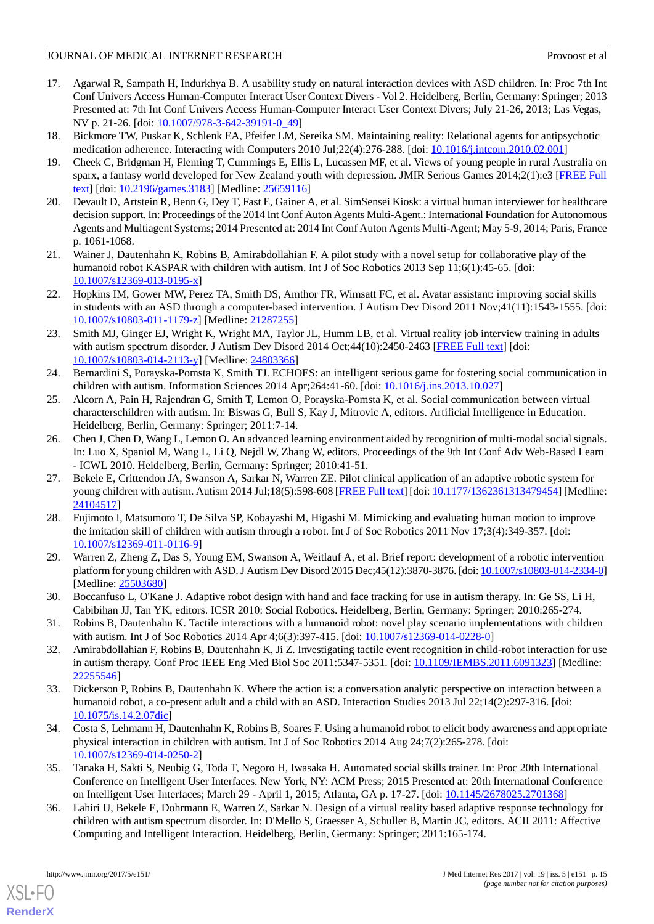- <span id="page-14-0"></span>17. Agarwal R, Sampath H, Indurkhya B. A usability study on natural interaction devices with ASD children. In: Proc 7th Int Conf Univers Access Human-Computer Interact User Context Divers - Vol 2. Heidelberg, Berlin, Germany: Springer; 2013 Presented at: 7th Int Conf Univers Access Human-Computer Interact User Context Divers; July 21-26, 2013; Las Vegas, NV p. 21-26. [doi:  $10.1007/978-3-642-39191-0.49$ ]
- <span id="page-14-2"></span><span id="page-14-1"></span>18. Bickmore TW, Puskar K, Schlenk EA, Pfeifer LM, Sereika SM. Maintaining reality: Relational agents for antipsychotic medication adherence. Interacting with Computers 2010 Jul;22(4):276-288. [doi: [10.1016/j.intcom.2010.02.001](http://dx.doi.org/10.1016/j.intcom.2010.02.001)]
- 19. Cheek C, Bridgman H, Fleming T, Cummings E, Ellis L, Lucassen MF, et al. Views of young people in rural Australia on sparx, a fantasy world developed for New Zealand youth with depression. JMIR Serious Games 2014;2(1):e3 [\[FREE Full](http://games.jmir.org/2014/1/e3/) [text](http://games.jmir.org/2014/1/e3/)] [doi: [10.2196/games.3183\]](http://dx.doi.org/10.2196/games.3183) [Medline: [25659116\]](http://www.ncbi.nlm.nih.gov/entrez/query.fcgi?cmd=Retrieve&db=PubMed&list_uids=25659116&dopt=Abstract)
- <span id="page-14-3"></span>20. Devault D, Artstein R, Benn G, Dey T, Fast E, Gainer A, et al. SimSensei Kiosk: a virtual human interviewer for healthcare decision support. In: Proceedings of the 2014 Int Conf Auton Agents Multi-Agent.: International Foundation for Autonomous Agents and Multiagent Systems; 2014 Presented at: 2014 Int Conf Auton Agents Multi-Agent; May 5-9, 2014; Paris, France p. 1061-1068.
- <span id="page-14-5"></span><span id="page-14-4"></span>21. Wainer J, Dautenhahn K, Robins B, Amirabdollahian F. A pilot study with a novel setup for collaborative play of the humanoid robot KASPAR with children with autism. Int J of Soc Robotics 2013 Sep 11;6(1):45-65. [doi: [10.1007/s12369-013-0195-x\]](http://dx.doi.org/10.1007/s12369-013-0195-x)
- <span id="page-14-6"></span>22. Hopkins IM, Gower MW, Perez TA, Smith DS, Amthor FR, Wimsatt FC, et al. Avatar assistant: improving social skills in students with an ASD through a computer-based intervention. J Autism Dev Disord 2011 Nov;41(11):1543-1555. [doi: [10.1007/s10803-011-1179-z](http://dx.doi.org/10.1007/s10803-011-1179-z)] [Medline: [21287255\]](http://www.ncbi.nlm.nih.gov/entrez/query.fcgi?cmd=Retrieve&db=PubMed&list_uids=21287255&dopt=Abstract)
- <span id="page-14-7"></span>23. Smith MJ, Ginger EJ, Wright K, Wright MA, Taylor JL, Humm LB, et al. Virtual reality job interview training in adults with autism spectrum disorder. J Autism Dev Disord 2014 Oct;44(10):2450-2463 [[FREE Full text](http://europepmc.org/abstract/MED/24803366)] [doi: [10.1007/s10803-014-2113-y\]](http://dx.doi.org/10.1007/s10803-014-2113-y) [Medline: [24803366](http://www.ncbi.nlm.nih.gov/entrez/query.fcgi?cmd=Retrieve&db=PubMed&list_uids=24803366&dopt=Abstract)]
- <span id="page-14-16"></span>24. Bernardini S, Porayska-Pomsta K, Smith TJ. ECHOES: an intelligent serious game for fostering social communication in children with autism. Information Sciences 2014 Apr;264:41-60. [doi: [10.1016/j.ins.2013.10.027\]](http://dx.doi.org/10.1016/j.ins.2013.10.027)
- <span id="page-14-8"></span>25. Alcorn A, Pain H, Rajendran G, Smith T, Lemon O, Porayska-Pomsta K, et al. Social communication between virtual characterschildren with autism. In: Biswas G, Bull S, Kay J, Mitrovic A, editors. Artificial Intelligence in Education. Heidelberg, Berlin, Germany: Springer; 2011:7-14.
- <span id="page-14-9"></span>26. Chen J, Chen D, Wang L, Lemon O. An advanced learning environment aided by recognition of multi-modal social signals. In: Luo X, Spaniol M, Wang L, Li Q, Nejdl W, Zhang W, editors. Proceedings of the 9th Int Conf Adv Web-Based Learn - ICWL 2010. Heidelberg, Berlin, Germany: Springer; 2010:41-51.
- <span id="page-14-10"></span>27. Bekele E, Crittendon JA, Swanson A, Sarkar N, Warren ZE. Pilot clinical application of an adaptive robotic system for young children with autism. Autism 2014 Jul;18(5):598-608 [[FREE Full text\]](http://europepmc.org/abstract/MED/24104517) [doi: [10.1177/1362361313479454](http://dx.doi.org/10.1177/1362361313479454)] [Medline: [24104517](http://www.ncbi.nlm.nih.gov/entrez/query.fcgi?cmd=Retrieve&db=PubMed&list_uids=24104517&dopt=Abstract)]
- 28. Fujimoto I, Matsumoto T, De Silva SP, Kobayashi M, Higashi M. Mimicking and evaluating human motion to improve the imitation skill of children with autism through a robot. Int J of Soc Robotics 2011 Nov 17;3(4):349-357. [doi: [10.1007/s12369-011-0116-9\]](http://dx.doi.org/10.1007/s12369-011-0116-9)
- <span id="page-14-13"></span><span id="page-14-11"></span>29. Warren Z, Zheng Z, Das S, Young EM, Swanson A, Weitlauf A, et al. Brief report: development of a robotic intervention platform for young children with ASD. J Autism Dev Disord 2015 Dec;45(12):3870-3876. [doi: [10.1007/s10803-014-2334-0\]](http://dx.doi.org/10.1007/s10803-014-2334-0) [Medline: [25503680](http://www.ncbi.nlm.nih.gov/entrez/query.fcgi?cmd=Retrieve&db=PubMed&list_uids=25503680&dopt=Abstract)]
- 30. Boccanfuso L, O'Kane J. Adaptive robot design with hand and face tracking for use in autism therapy. In: Ge SS, Li H, Cabibihan JJ, Tan YK, editors. ICSR 2010: Social Robotics. Heidelberg, Berlin, Germany: Springer; 2010:265-274.
- 31. Robins B, Dautenhahn K. Tactile interactions with a humanoid robot: novel play scenario implementations with children with autism. Int J of Soc Robotics 2014 Apr 4;6(3):397-415. [doi: [10.1007/s12369-014-0228-0](http://dx.doi.org/10.1007/s12369-014-0228-0)]
- <span id="page-14-12"></span>32. Amirabdollahian F, Robins B, Dautenhahn K, Ji Z. Investigating tactile event recognition in child-robot interaction for use in autism therapy. Conf Proc IEEE Eng Med Biol Soc 2011:5347-5351. [doi: [10.1109/IEMBS.2011.6091323\]](http://dx.doi.org/10.1109/IEMBS.2011.6091323) [Medline: [22255546](http://www.ncbi.nlm.nih.gov/entrez/query.fcgi?cmd=Retrieve&db=PubMed&list_uids=22255546&dopt=Abstract)]
- <span id="page-14-14"></span>33. Dickerson P, Robins B, Dautenhahn K. Where the action is: a conversation analytic perspective on interaction between a humanoid robot, a co-present adult and a child with an ASD. Interaction Studies 2013 Jul 22;14(2):297-316. [doi: [10.1075/is.14.2.07dic](http://dx.doi.org/10.1075/is.14.2.07dic)]
- <span id="page-14-15"></span>34. Costa S, Lehmann H, Dautenhahn K, Robins B, Soares F. Using a humanoid robot to elicit body awareness and appropriate physical interaction in children with autism. Int J of Soc Robotics 2014 Aug 24;7(2):265-278. [doi: [10.1007/s12369-014-0250-2\]](http://dx.doi.org/10.1007/s12369-014-0250-2)
- 35. Tanaka H, Sakti S, Neubig G, Toda T, Negoro H, Iwasaka H. Automated social skills trainer. In: Proc 20th International Conference on Intelligent User Interfaces. New York, NY: ACM Press; 2015 Presented at: 20th International Conference on Intelligent User Interfaces; March 29 - April 1, 2015; Atlanta, GA p. 17-27. [doi: [10.1145/2678025.2701368](http://dx.doi.org/10.1145/2678025.2701368)]
- 36. Lahiri U, Bekele E, Dohrmann E, Warren Z, Sarkar N. Design of a virtual reality based adaptive response technology for children with autism spectrum disorder. In: D'Mello S, Graesser A, Schuller B, Martin JC, editors. ACII 2011: Affective Computing and Intelligent Interaction. Heidelberg, Berlin, Germany: Springer; 2011:165-174.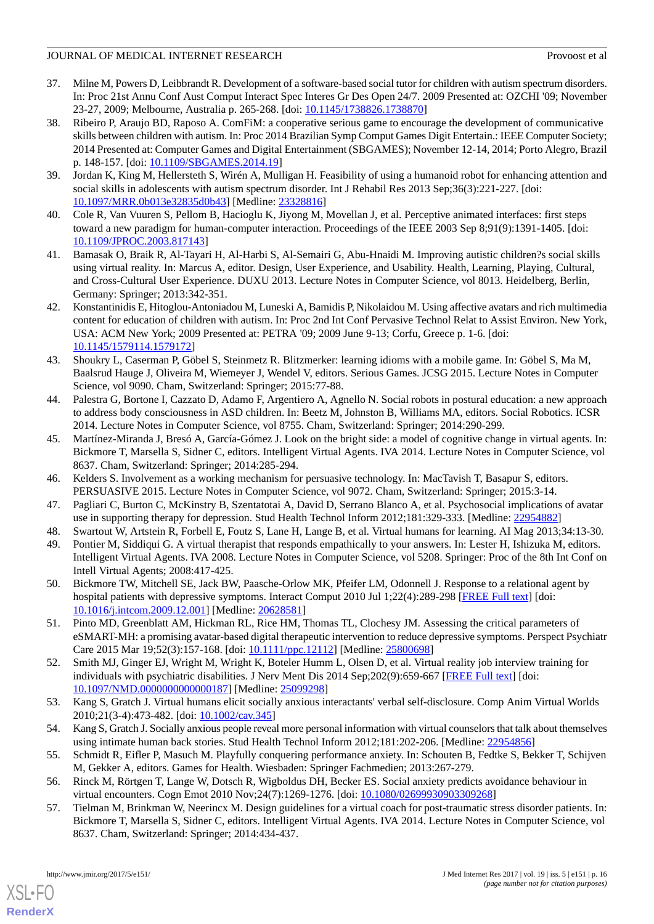- <span id="page-15-0"></span>37. Milne M, Powers D, Leibbrandt R. Development of a software-based social tutor for children with autism spectrum disorders. In: Proc 21st Annu Conf Aust Comput Interact Spec Interes Gr Des Open 24/7. 2009 Presented at: OZCHI '09; November 23-27, 2009; Melbourne, Australia p. 265-268. [doi: [10.1145/1738826.1738870\]](http://dx.doi.org/10.1145/1738826.1738870)
- <span id="page-15-1"></span>38. Ribeiro P, Araujo BD, Raposo A. ComFiM: a cooperative serious game to encourage the development of communicative skills between children with autism. In: Proc 2014 Brazilian Symp Comput Games Digit Entertain.: IEEE Computer Society; 2014 Presented at: Computer Games and Digital Entertainment (SBGAMES); November 12-14, 2014; Porto Alegro, Brazil p. 148-157. [doi: [10.1109/SBGAMES.2014.19\]](http://dx.doi.org/10.1109/SBGAMES.2014.19)
- <span id="page-15-3"></span><span id="page-15-2"></span>39. Jordan K, King M, Hellersteth S, Wirén A, Mulligan H. Feasibility of using a humanoid robot for enhancing attention and social skills in adolescents with autism spectrum disorder. Int J Rehabil Res 2013 Sep;36(3):221-227. [doi: [10.1097/MRR.0b013e32835d0b43\]](http://dx.doi.org/10.1097/MRR.0b013e32835d0b43) [Medline: [23328816\]](http://www.ncbi.nlm.nih.gov/entrez/query.fcgi?cmd=Retrieve&db=PubMed&list_uids=23328816&dopt=Abstract)
- <span id="page-15-4"></span>40. Cole R, Van Vuuren S, Pellom B, Hacioglu K, Jiyong M, Movellan J, et al. Perceptive animated interfaces: first steps toward a new paradigm for human-computer interaction. Proceedings of the IEEE 2003 Sep 8;91(9):1391-1405. [doi: [10.1109/JPROC.2003.817143](http://dx.doi.org/10.1109/JPROC.2003.817143)]
- <span id="page-15-5"></span>41. Bamasak O, Braik R, Al-Tayari H, Al-Harbi S, Al-Semairi G, Abu-Hnaidi M. Improving autistic children?s social skills using virtual reality. In: Marcus A, editor. Design, User Experience, and Usability. Health, Learning, Playing, Cultural, and Cross-Cultural User Experience. DUXU 2013. Lecture Notes in Computer Science, vol 8013. Heidelberg, Berlin, Germany: Springer; 2013:342-351.
- <span id="page-15-6"></span>42. Konstantinidis E, Hitoglou-Antoniadou M, Luneski A, Bamidis P, Nikolaidou M. Using affective avatars and rich multimedia content for education of children with autism. In: Proc 2nd Int Conf Pervasive Technol Relat to Assist Environ. New York, USA: ACM New York; 2009 Presented at: PETRA '09; 2009 June 9-13; Corfu, Greece p. 1-6. [doi: [10.1145/1579114.1579172](http://dx.doi.org/10.1145/1579114.1579172)]
- <span id="page-15-7"></span>43. Shoukry L, Caserman P, Göbel S, Steinmetz R. Blitzmerker: learning idioms with a mobile game. In: Göbel S, Ma M, Baalsrud Hauge J, Oliveira M, Wiemeyer J, Wendel V, editors. Serious Games. JCSG 2015. Lecture Notes in Computer Science, vol 9090. Cham, Switzerland: Springer; 2015:77-88.
- <span id="page-15-8"></span>44. Palestra G, Bortone I, Cazzato D, Adamo F, Argentiero A, Agnello N. Social robots in postural education: a new approach to address body consciousness in ASD children. In: Beetz M, Johnston B, Williams MA, editors. Social Robotics. ICSR 2014. Lecture Notes in Computer Science, vol 8755. Cham, Switzerland: Springer; 2014:290-299.
- <span id="page-15-10"></span><span id="page-15-9"></span>45. Martínez-Miranda J, Bresó A, García-Gómez J. Look on the bright side: a model of cognitive change in virtual agents. In: Bickmore T, Marsella S, Sidner C, editors. Intelligent Virtual Agents. IVA 2014. Lecture Notes in Computer Science, vol 8637. Cham, Switzerland: Springer; 2014:285-294.
- <span id="page-15-12"></span><span id="page-15-11"></span>46. Kelders S. Involvement as a working mechanism for persuasive technology. In: MacTavish T, Basapur S, editors. PERSUASIVE 2015. Lecture Notes in Computer Science, vol 9072. Cham, Switzerland: Springer; 2015:3-14.
- 47. Pagliari C, Burton C, McKinstry B, Szentatotai A, David D, Serrano Blanco A, et al. Psychosocial implications of avatar use in supporting therapy for depression. Stud Health Technol Inform 2012;181:329-333. [Medline: [22954882\]](http://www.ncbi.nlm.nih.gov/entrez/query.fcgi?cmd=Retrieve&db=PubMed&list_uids=22954882&dopt=Abstract)
- <span id="page-15-13"></span>48. Swartout W, Artstein R, Forbell E, Foutz S, Lane H, Lange B, et al. Virtual humans for learning. AI Mag 2013;34:13-30.
- <span id="page-15-14"></span>49. Pontier M, Siddiqui G. A virtual therapist that responds empathically to your answers. In: Lester H, Ishizuka M, editors. Intelligent Virtual Agents. IVA 2008. Lecture Notes in Computer Science, vol 5208. Springer: Proc of the 8th Int Conf on Intell Virtual Agents; 2008:417-425.
- <span id="page-15-15"></span>50. Bickmore TW, Mitchell SE, Jack BW, Paasche-Orlow MK, Pfeifer LM, Odonnell J. Response to a relational agent by hospital patients with depressive symptoms. Interact Comput 2010 Jul 1;22(4):289-298 [[FREE Full text](http://europepmc.org/abstract/MED/20628581)] [doi: [10.1016/j.intcom.2009.12.001](http://dx.doi.org/10.1016/j.intcom.2009.12.001)] [Medline: [20628581](http://www.ncbi.nlm.nih.gov/entrez/query.fcgi?cmd=Retrieve&db=PubMed&list_uids=20628581&dopt=Abstract)]
- <span id="page-15-16"></span>51. Pinto MD, Greenblatt AM, Hickman RL, Rice HM, Thomas TL, Clochesy JM. Assessing the critical parameters of eSMART-MH: a promising avatar-based digital therapeutic intervention to reduce depressive symptoms. Perspect Psychiatr Care 2015 Mar 19;52(3):157-168. [doi: [10.1111/ppc.12112\]](http://dx.doi.org/10.1111/ppc.12112) [Medline: [25800698\]](http://www.ncbi.nlm.nih.gov/entrez/query.fcgi?cmd=Retrieve&db=PubMed&list_uids=25800698&dopt=Abstract)
- <span id="page-15-18"></span><span id="page-15-17"></span>52. Smith MJ, Ginger EJ, Wright M, Wright K, Boteler Humm L, Olsen D, et al. Virtual reality job interview training for individuals with psychiatric disabilities. J Nerv Ment Dis 2014 Sep;202(9):659-667 [[FREE Full text](http://europepmc.org/abstract/MED/25099298)] [doi: [10.1097/NMD.0000000000000187\]](http://dx.doi.org/10.1097/NMD.0000000000000187) [Medline: [25099298](http://www.ncbi.nlm.nih.gov/entrez/query.fcgi?cmd=Retrieve&db=PubMed&list_uids=25099298&dopt=Abstract)]
- <span id="page-15-19"></span>53. Kang S, Gratch J. Virtual humans elicit socially anxious interactants' verbal self-disclosure. Comp Anim Virtual Worlds 2010;21(3-4):473-482. [doi: [10.1002/cav.345\]](http://dx.doi.org/10.1002/cav.345)
- <span id="page-15-20"></span>54. Kang S, Gratch J. Socially anxious people reveal more personal information with virtual counselors that talk about themselves using intimate human back stories. Stud Health Technol Inform 2012;181:202-206. [Medline: [22954856\]](http://www.ncbi.nlm.nih.gov/entrez/query.fcgi?cmd=Retrieve&db=PubMed&list_uids=22954856&dopt=Abstract)
- 55. Schmidt R, Eifler P, Masuch M. Playfully conquering performance anxiety. In: Schouten B, Fedtke S, Bekker T, Schijven M, Gekker A, editors. Games for Health. Wiesbaden: Springer Fachmedien; 2013:267-279.
- 56. Rinck M, Rörtgen T, Lange W, Dotsch R, Wigboldus DH, Becker ES. Social anxiety predicts avoidance behaviour in virtual encounters. Cogn Emot 2010 Nov;24(7):1269-1276. [doi: [10.1080/02699930903309268\]](http://dx.doi.org/10.1080/02699930903309268)
- 57. Tielman M, Brinkman W, Neerincx M. Design guidelines for a virtual coach for post-traumatic stress disorder patients. In: Bickmore T, Marsella S, Sidner C, editors. Intelligent Virtual Agents. IVA 2014. Lecture Notes in Computer Science, vol 8637. Cham, Switzerland: Springer; 2014:434-437.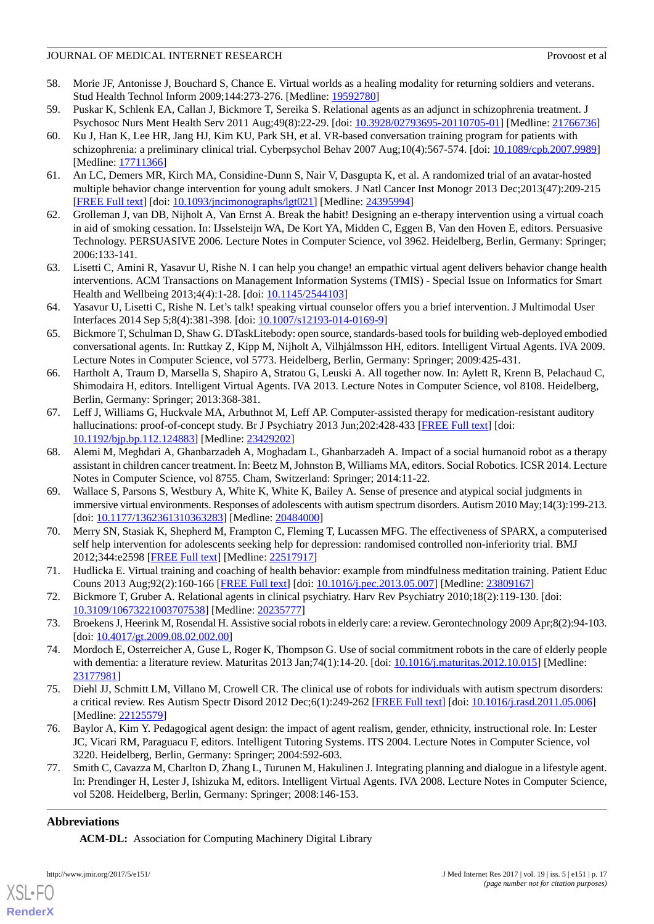- <span id="page-16-0"></span>58. Morie JF, Antonisse J, Bouchard S, Chance E. Virtual worlds as a healing modality for returning soldiers and veterans. Stud Health Technol Inform 2009;144:273-276. [Medline: [19592780](http://www.ncbi.nlm.nih.gov/entrez/query.fcgi?cmd=Retrieve&db=PubMed&list_uids=19592780&dopt=Abstract)]
- <span id="page-16-2"></span><span id="page-16-1"></span>59. Puskar K, Schlenk EA, Callan J, Bickmore T, Sereika S. Relational agents as an adjunct in schizophrenia treatment. J Psychosoc Nurs Ment Health Serv 2011 Aug;49(8):22-29. [doi: [10.3928/02793695-20110705-01](http://dx.doi.org/10.3928/02793695-20110705-01)] [Medline: [21766736](http://www.ncbi.nlm.nih.gov/entrez/query.fcgi?cmd=Retrieve&db=PubMed&list_uids=21766736&dopt=Abstract)]
- 60. Ku J, Han K, Lee HR, Jang HJ, Kim KU, Park SH, et al. VR-based conversation training program for patients with schizophrenia: a preliminary clinical trial. Cyberpsychol Behav 2007 Aug;10(4):567-574. [doi: [10.1089/cpb.2007.9989](http://dx.doi.org/10.1089/cpb.2007.9989)] [Medline: [17711366](http://www.ncbi.nlm.nih.gov/entrez/query.fcgi?cmd=Retrieve&db=PubMed&list_uids=17711366&dopt=Abstract)]
- <span id="page-16-4"></span><span id="page-16-3"></span>61. An LC, Demers MR, Kirch MA, Considine-Dunn S, Nair V, Dasgupta K, et al. A randomized trial of an avatar-hosted multiple behavior change intervention for young adult smokers. J Natl Cancer Inst Monogr 2013 Dec;2013(47):209-215 [[FREE Full text](http://europepmc.org/abstract/MED/24395994)] [doi: [10.1093/jncimonographs/lgt021\]](http://dx.doi.org/10.1093/jncimonographs/lgt021) [Medline: [24395994](http://www.ncbi.nlm.nih.gov/entrez/query.fcgi?cmd=Retrieve&db=PubMed&list_uids=24395994&dopt=Abstract)]
- 62. Grolleman J, van DB, Nijholt A, Van Ernst A. Break the habit! Designing an e-therapy intervention using a virtual coach in aid of smoking cessation. In: IJsselsteijn WA, De Kort YA, Midden C, Eggen B, Van den Hoven E, editors. Persuasive Technology. PERSUASIVE 2006. Lecture Notes in Computer Science, vol 3962. Heidelberg, Berlin, Germany: Springer; 2006:133-141.
- <span id="page-16-6"></span><span id="page-16-5"></span>63. Lisetti C, Amini R, Yasavur U, Rishe N. I can help you change! an empathic virtual agent delivers behavior change health interventions. ACM Transactions on Management Information Systems (TMIS) - Special Issue on Informatics for Smart Health and Wellbeing 2013;4(4):1-28. [doi: [10.1145/2544103](http://dx.doi.org/10.1145/2544103)]
- <span id="page-16-7"></span>64. Yasavur U, Lisetti C, Rishe N. Let's talk! speaking virtual counselor offers you a brief intervention. J Multimodal User Interfaces 2014 Sep 5;8(4):381-398. [doi: [10.1007/s12193-014-0169-9](http://dx.doi.org/10.1007/s12193-014-0169-9)]
- <span id="page-16-8"></span>65. Bickmore T, Schulman D, Shaw G. DTaskLitebody: open source, standards-based tools for building web-deployed embodied conversational agents. In: Ruttkay Z, Kipp M, Nijholt A, Vilhjálmsson HH, editors. Intelligent Virtual Agents. IVA 2009. Lecture Notes in Computer Science, vol 5773. Heidelberg, Berlin, Germany: Springer; 2009:425-431.
- <span id="page-16-9"></span>66. Hartholt A, Traum D, Marsella S, Shapiro A, Stratou G, Leuski A. All together now. In: Aylett R, Krenn B, Pelachaud C, Shimodaira H, editors. Intelligent Virtual Agents. IVA 2013. Lecture Notes in Computer Science, vol 8108. Heidelberg, Berlin, Germany: Springer; 2013:368-381.
- <span id="page-16-10"></span>67. Leff J, Williams G, Huckvale MA, Arbuthnot M, Leff AP. Computer-assisted therapy for medication-resistant auditory hallucinations: proof-of-concept study. Br J Psychiatry 2013 Jun;202:428-433 [[FREE Full text](http://bjp.rcpsych.org/cgi/pmidlookup?view=long&pmid=23429202)] [doi: [10.1192/bjp.bp.112.124883](http://dx.doi.org/10.1192/bjp.bp.112.124883)] [Medline: [23429202\]](http://www.ncbi.nlm.nih.gov/entrez/query.fcgi?cmd=Retrieve&db=PubMed&list_uids=23429202&dopt=Abstract)
- <span id="page-16-11"></span>68. Alemi M, Meghdari A, Ghanbarzadeh A, Moghadam L, Ghanbarzadeh A. Impact of a social humanoid robot as a therapy assistant in children cancer treatment. In: Beetz M, Johnston B, Williams MA, editors. Social Robotics. ICSR 2014. Lecture Notes in Computer Science, vol 8755. Cham, Switzerland: Springer; 2014:11-22.
- <span id="page-16-12"></span>69. Wallace S, Parsons S, Westbury A, White K, White K, Bailey A. Sense of presence and atypical social judgments in immersive virtual environments. Responses of adolescents with autism spectrum disorders. Autism 2010 May;14(3):199-213. [doi: [10.1177/1362361310363283](http://dx.doi.org/10.1177/1362361310363283)] [Medline: [20484000\]](http://www.ncbi.nlm.nih.gov/entrez/query.fcgi?cmd=Retrieve&db=PubMed&list_uids=20484000&dopt=Abstract)
- <span id="page-16-14"></span><span id="page-16-13"></span>70. Merry SN, Stasiak K, Shepherd M, Frampton C, Fleming T, Lucassen MFG. The effectiveness of SPARX, a computerised self help intervention for adolescents seeking help for depression: randomised controlled non-inferiority trial. BMJ 2012;344:e2598 [\[FREE Full text\]](http://www.bmj.com/cgi/pmidlookup?view=long&pmid=22517917) [Medline: [22517917\]](http://www.ncbi.nlm.nih.gov/entrez/query.fcgi?cmd=Retrieve&db=PubMed&list_uids=22517917&dopt=Abstract)
- <span id="page-16-15"></span>71. Hudlicka E. Virtual training and coaching of health behavior: example from mindfulness meditation training. Patient Educ Couns 2013 Aug;92(2):160-166 [[FREE Full text](http://europepmc.org/abstract/MED/23809167)] [doi: [10.1016/j.pec.2013.05.007](http://dx.doi.org/10.1016/j.pec.2013.05.007)] [Medline: [23809167](http://www.ncbi.nlm.nih.gov/entrez/query.fcgi?cmd=Retrieve&db=PubMed&list_uids=23809167&dopt=Abstract)]
- <span id="page-16-16"></span>72. Bickmore T, Gruber A. Relational agents in clinical psychiatry. Harv Rev Psychiatry 2010;18(2):119-130. [doi: [10.3109/10673221003707538\]](http://dx.doi.org/10.3109/10673221003707538) [Medline: [20235777\]](http://www.ncbi.nlm.nih.gov/entrez/query.fcgi?cmd=Retrieve&db=PubMed&list_uids=20235777&dopt=Abstract)
- <span id="page-16-17"></span>73. Broekens J, Heerink M, Rosendal H. Assistive social robots in elderly care: a review. Gerontechnology 2009 Apr;8(2):94-103. [doi: [10.4017/gt.2009.08.02.002.00](http://dx.doi.org/10.4017/gt.2009.08.02.002.00)]
- <span id="page-16-18"></span>74. Mordoch E, Osterreicher A, Guse L, Roger K, Thompson G. Use of social commitment robots in the care of elderly people with dementia: a literature review. Maturitas 2013 Jan;74(1):14-20. [doi: [10.1016/j.maturitas.2012.10.015](http://dx.doi.org/10.1016/j.maturitas.2012.10.015)] [Medline: [23177981](http://www.ncbi.nlm.nih.gov/entrez/query.fcgi?cmd=Retrieve&db=PubMed&list_uids=23177981&dopt=Abstract)]
- <span id="page-16-19"></span>75. Diehl JJ, Schmitt LM, Villano M, Crowell CR. The clinical use of robots for individuals with autism spectrum disorders: a critical review. Res Autism Spectr Disord 2012 Dec;6(1):249-262 [[FREE Full text](http://europepmc.org/abstract/MED/22125579)] [doi: [10.1016/j.rasd.2011.05.006](http://dx.doi.org/10.1016/j.rasd.2011.05.006)] [Medline: [22125579](http://www.ncbi.nlm.nih.gov/entrez/query.fcgi?cmd=Retrieve&db=PubMed&list_uids=22125579&dopt=Abstract)]
- 76. Baylor A, Kim Y. Pedagogical agent design: the impact of agent realism, gender, ethnicity, instructional role. In: Lester JC, Vicari RM, Paraguacu F, editors. Intelligent Tutoring Systems. ITS 2004. Lecture Notes in Computer Science, vol 3220. Heidelberg, Berlin, Germany: Springer; 2004:592-603.
- 77. Smith C, Cavazza M, Charlton D, Zhang L, Turunen M, Hakulinen J. Integrating planning and dialogue in a lifestyle agent. In: Prendinger H, Lester J, Ishizuka M, editors. Intelligent Virtual Agents. IVA 2008. Lecture Notes in Computer Science, vol 5208. Heidelberg, Berlin, Germany: Springer; 2008:146-153.

# **Abbreviations**

[XSL](http://www.w3.org/Style/XSL)•FO **[RenderX](http://www.renderx.com/)**

**ACM-DL:** Association for Computing Machinery Digital Library